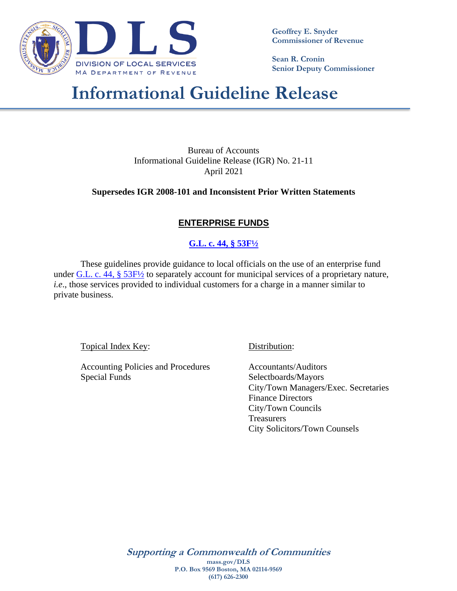

**Geoffrey E. Snyder Commissioner of Revenue**

**Sean R. Cronin Senior Deputy Commissioner**

# **Informational Guideline Release**

Bureau of Accounts Informational Guideline Release (IGR) No. 21-11 April 2021

**Supersedes IGR 2008-101 and Inconsistent Prior Written Statements**

#### **ENTERPRISE FUNDS**

#### **[G.L. c. 44, § 53F½](https://malegislature.gov/Laws/GeneralLaws/PartI/TitleVII/Chapter44/Section53F1~2)**

These guidelines provide guidance to local officials on the use of an enterprise fund under  $GL$ . c. 44, § 53 $F\frac{1}{2}$  to separately account for municipal services of a proprietary nature, *i.e*., those services provided to individual customers for a charge in a manner similar to private business.

Topical Index Key: Distribution:

Accounting Policies and Procedures **Accountants/Auditors** Special Funds Selectboards/Mayors

City/Town Managers/Exec. Secretaries Finance Directors City/Town Councils **Treasurers** City Solicitors/Town Counsels

**Supporting a Commonwealth of Communities mass.gov/DLS P.O. Box 9569 Boston, MA 02114-9569 (617) 626-2300**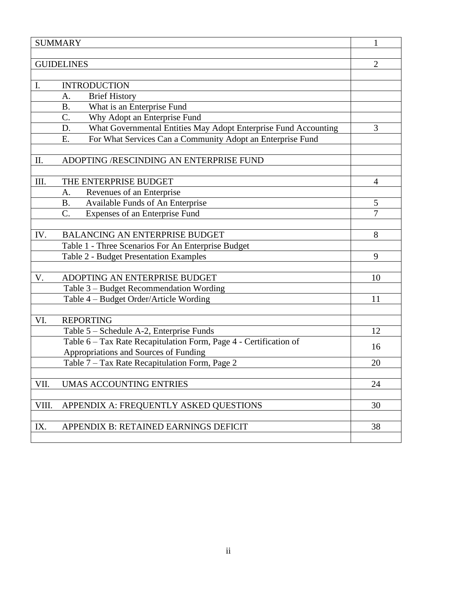|       | <b>SUMMARY</b>                                                        | 1              |
|-------|-----------------------------------------------------------------------|----------------|
|       | <b>GUIDELINES</b>                                                     | $\overline{2}$ |
|       |                                                                       |                |
| I.    | <b>INTRODUCTION</b>                                                   |                |
|       | <b>Brief History</b><br>A.                                            |                |
|       | What is an Enterprise Fund<br><b>B.</b>                               |                |
|       | C.<br>Why Adopt an Enterprise Fund                                    |                |
|       | What Governmental Entities May Adopt Enterprise Fund Accounting<br>D. | 3              |
|       | For What Services Can a Community Adopt an Enterprise Fund<br>E.      |                |
|       |                                                                       |                |
| Π.    | ADOPTING /RESCINDING AN ENTERPRISE FUND                               |                |
|       |                                                                       |                |
| III.  | THE ENTERPRISE BUDGET                                                 | 4              |
|       | Revenues of an Enterprise<br>A.                                       |                |
|       | Available Funds of An Enterprise<br><b>B.</b>                         | 5              |
|       | $\overline{C}$ .<br>Expenses of an Enterprise Fund                    | 7              |
| IV.   | <b>BALANCING AN ENTERPRISE BUDGET</b>                                 | 8              |
|       | Table 1 - Three Scenarios For An Enterprise Budget                    |                |
|       | Table 2 - Budget Presentation Examples                                | 9              |
|       |                                                                       |                |
| V.    | ADOPTING AN ENTERPRISE BUDGET                                         | 10             |
|       | Table 3 – Budget Recommendation Wording                               |                |
|       | Table 4 – Budget Order/Article Wording                                | 11             |
|       |                                                                       |                |
| VI.   | <b>REPORTING</b>                                                      |                |
|       | Table 5 - Schedule A-2, Enterprise Funds                              | 12             |
|       | Table 6 - Tax Rate Recapitulation Form, Page 4 - Certification of     | 16             |
|       | Appropriations and Sources of Funding                                 |                |
|       | Table 7 – Tax Rate Recapitulation Form, Page 2                        | 20             |
| VII.  | <b>UMAS ACCOUNTING ENTRIES</b>                                        | 24             |
|       |                                                                       |                |
| VIII. | APPENDIX A: FREQUENTLY ASKED QUESTIONS                                | 30             |
|       |                                                                       |                |
| IX.   | APPENDIX B: RETAINED EARNINGS DEFICIT                                 | 38             |
|       |                                                                       |                |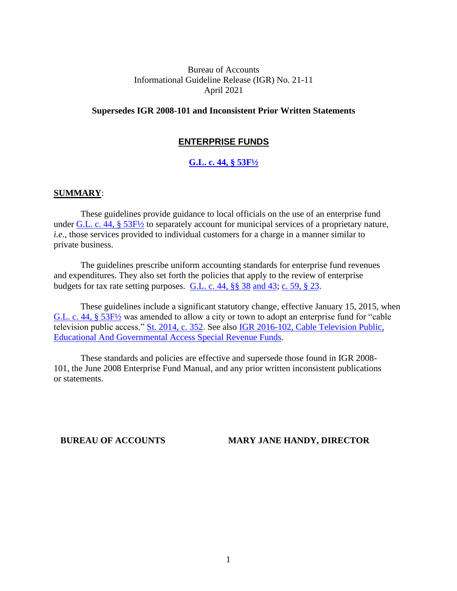#### Bureau of Accounts Informational Guideline Release (IGR) No. 21-11 April 2021

#### **Supersedes IGR 2008-101 and Inconsistent Prior Written Statements**

#### **ENTERPRISE FUNDS**

#### **[G.L. c. 44, § 53F½](https://malegislature.gov/Laws/GeneralLaws/PartI/TitleVII/Chapter44/Section53F1~2)**

#### **SUMMARY**:

These guidelines provide guidance to local officials on the use of an enterprise fund under G.L. c. 44, § 53F $\frac{1}{2}$  to separately account for municipal services of a proprietary nature, *i.e*., those services provided to individual customers for a charge in a manner similar to private business.

The guidelines prescribe uniform accounting standards for enterprise fund revenues and expenditures. They also set forth the policies that apply to the review of enterprise budgets for tax rate setting purposes. [G.L. c. 44, §§ 38](https://malegislature.gov/Laws/GeneralLaws/PartI/TitleVII/Chapter44/Section38) [and 43;](https://malegislature.gov/Laws/GeneralLaws/PartI/TitleVII/Chapter44/Section43) [c. 59, § 23.](https://malegislature.gov/Laws/GeneralLaws/PartI/TitleIX/Chapter59/Section23)

These guidelines include a significant statutory change, effective January 15, 2015, when [G.L. c. 44, § 53F½](https://malegislature.gov/Laws/GeneralLaws/PartI/TitleVII/Chapter44/Section53F1~2) was amended to allow a city or town to adopt an enterprise fund for "cable television public access." [St. 2014, c. 352.](https://malegislature.gov/Laws/SessionLaws/Acts/2014/Chapter352) See also [IGR 2016-102,](https://dlsgateway.dor.state.ma.us/gateway/DLSPublic/IgrMaintenance/673) Cable Television Public, Educational And Governmental Access Special Revenue Funds.

These standards and policies are effective and supersede those found in IGR 2008- 101, the June 2008 Enterprise Fund Manual, and any prior written inconsistent publications or statements.

#### **BUREAU OF ACCOUNTS MARY JANE HANDY, DIRECTOR**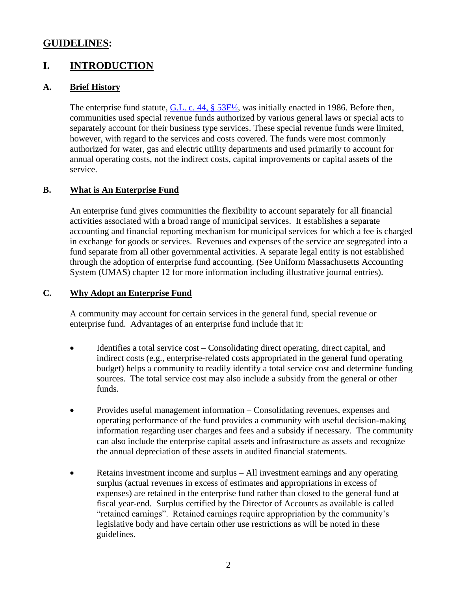### **GUIDELINES:**

### **I. INTRODUCTION**

#### **A. Brief History**

The enterprise fund statute, G.L. c. [44, § 53F½,](https://malegislature.gov/Laws/GeneralLaws/PartI/TitleVII/Chapter44/Section53F1~2) was initially enacted in 1986. Before then, communities used special revenue funds authorized by various general laws or special acts to separately account for their business type services. These special revenue funds were limited, however, with regard to the services and costs covered. The funds were most commonly authorized for water, gas and electric utility departments and used primarily to account for annual operating costs, not the indirect costs, capital improvements or capital assets of the service.

#### **B. What is An Enterprise Fund**

An enterprise fund gives communities the flexibility to account separately for all financial activities associated with a broad range of municipal services. It establishes a separate accounting and financial reporting mechanism for municipal services for which a fee is charged in exchange for goods or services. Revenues and expenses of the service are segregated into a fund separate from all other governmental activities. A separate legal entity is not established through the adoption of enterprise fund accounting. (See Uniform Massachusetts Accounting System (UMAS) chapter 12 for more information including illustrative journal entries).

#### **C. Why Adopt an Enterprise Fund**

A community may account for certain services in the general fund, special revenue or enterprise fund. Advantages of an enterprise fund include that it:

- Identifies a total service cost Consolidating direct operating, direct capital, and indirect costs (e.g., enterprise-related costs appropriated in the general fund operating budget) helps a community to readily identify a total service cost and determine funding sources. The total service cost may also include a subsidy from the general or other funds.
- Provides useful management information Consolidating revenues, expenses and operating performance of the fund provides a community with useful decision-making information regarding user charges and fees and a subsidy if necessary. The community can also include the enterprise capital assets and infrastructure as assets and recognize the annual depreciation of these assets in audited financial statements.
- Retains investment income and surplus All investment earnings and any operating surplus (actual revenues in excess of estimates and appropriations in excess of expenses) are retained in the enterprise fund rather than closed to the general fund at fiscal year-end. Surplus certified by the Director of Accounts as available is called "retained earnings". Retained earnings require appropriation by the community's legislative body and have certain other use restrictions as will be noted in these guidelines.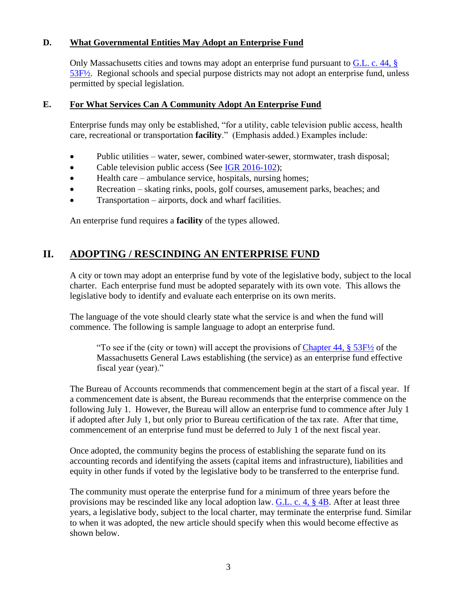#### **D. What Governmental Entities May Adopt an Enterprise Fund**

Only Massachusetts cities and towns may adopt an enterprise fund pursuant to [G.L. c.](https://malegislature.gov/Laws/GeneralLaws/PartI/TitleVII/Chapter44/Section53F1~2) 44, § [53F½.](https://malegislature.gov/Laws/GeneralLaws/PartI/TitleVII/Chapter44/Section53F1~2) Regional schools and special purpose districts may not adopt an enterprise fund, unless permitted by special legislation.

#### **E. For What Services Can A Community Adopt An Enterprise Fund**

Enterprise funds may only be established, "for a utility, cable television public access, health care, recreational or transportation **facility**." (Emphasis added.) Examples include:

- Public utilities water, sewer, combined water-sewer, stormwater, trash disposal;
- Cable television public access (See IGR [2016-102\)](https://dlsgateway.dor.state.ma.us/gateway/DLSPublic/IgrMaintenance/673);
- Health care ambulance service, hospitals, nursing homes;
- Recreation skating rinks, pools, golf courses, amusement parks, beaches; and
- Transportation airports, dock and wharf facilities.

An enterprise fund requires a **facility** of the types allowed.

### **II. ADOPTING / RESCINDING AN ENTERPRISE FUND**

A city or town may adopt an enterprise fund by vote of the legislative body, subject to the local charter. Each enterprise fund must be adopted separately with its own vote. This allows the legislative body to identify and evaluate each enterprise on its own merits.

The language of the vote should clearly state what the service is and when the fund will commence. The following is sample language to adopt an enterprise fund.

"To see if the (city or town) will accept the provisions of Chapter 44,  $\S 53F/2$  of the Massachusetts General Laws establishing (the service) as an enterprise fund effective fiscal year (year)."

The Bureau of Accounts recommends that commencement begin at the start of a fiscal year. If a commencement date is absent, the Bureau recommends that the enterprise commence on the following July 1. However, the Bureau will allow an enterprise fund to commence after July 1 if adopted after July 1, but only prior to Bureau certification of the tax rate. After that time, commencement of an enterprise fund must be deferred to July 1 of the next fiscal year.

Once adopted, the community begins the process of establishing the separate fund on its accounting records and identifying the assets (capital items and infrastructure), liabilities and equity in other funds if voted by the legislative body to be transferred to the enterprise fund.

The community must operate the enterprise fund for a minimum of three years before the provisions may be rescinded like any local adoption law. [G.L. c. 4, § 4B.](https://malegislature.gov/Laws/GeneralLaws/PartI/TitleI/Chapter4/Section4B) After at least three years, a legislative body, subject to the local charter, may terminate the enterprise fund. Similar to when it was adopted, the new article should specify when this would become effective as shown below.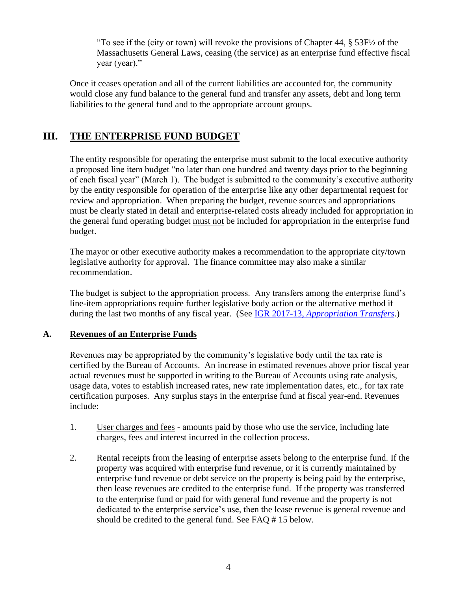"To see if the (city or town) will revoke the provisions of Chapter  $44, \S 53F\frac{1}{2}$  of the Massachusetts General Laws, ceasing (the service) as an enterprise fund effective fiscal year (year)."

Once it ceases operation and all of the current liabilities are accounted for, the community would close any fund balance to the general fund and transfer any assets, debt and long term liabilities to the general fund and to the appropriate account groups.

### **III. THE ENTERPRISE FUND BUDGET**

The entity responsible for operating the enterprise must submit to the local executive authority a proposed line item budget "no later than one hundred and twenty days prior to the beginning of each fiscal year" (March 1). The budget is submitted to the community's executive authority by the entity responsible for operation of the enterprise like any other departmental request for review and appropriation. When preparing the budget, revenue sources and appropriations must be clearly stated in detail and enterprise-related costs already included for appropriation in the general fund operating budget must not be included for appropriation in the enterprise fund budget.

The mayor or other executive authority makes a recommendation to the appropriate city/town legislative authority for approval. The finance committee may also make a similar recommendation.

The budget is subject to the appropriation process. Any transfers among the enterprise fund's line-item appropriations require further legislative body action or the alternative method if during the last two months of any fiscal year. (See IGR 2017-13, *[Appropriation Transfers](https://dlsgateway.dor.state.ma.us/gateway/DLSPublic/IgrMaintenance/701)*.)

#### **A. Revenues of an Enterprise Funds**

Revenues may be appropriated by the community's legislative body until the tax rate is certified by the Bureau of Accounts. An increase in estimated revenues above prior fiscal year actual revenues must be supported in writing to the Bureau of Accounts using rate analysis, usage data, votes to establish increased rates, new rate implementation dates, etc., for tax rate certification purposes. Any surplus stays in the enterprise fund at fiscal year-end. Revenues include:

- 1. User charges and fees amounts paid by those who use the service, including late charges, fees and interest incurred in the collection process.
- 2. Rental receipts from the leasing of enterprise assets belong to the enterprise fund. If the property was acquired with enterprise fund revenue, or it is currently maintained by enterprise fund revenue or debt service on the property is being paid by the enterprise, then lease revenues are credited to the enterprise fund. If the property was transferred to the enterprise fund or paid for with general fund revenue and the property is not dedicated to the enterprise service's use, then the lease revenue is general revenue and should be credited to the general fund. See FAQ # 15 below.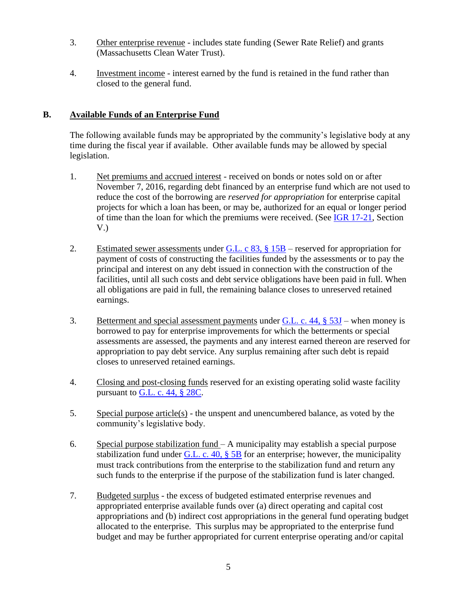- 3. Other enterprise revenue *-* includes state funding (Sewer Rate Relief) and grants (Massachusetts Clean Water Trust).
- 4. Investment income interest earned by the fund is retained in the fund rather than closed to the general fund.

#### **B. Available Funds of an Enterprise Fund**

The following available funds may be appropriated by the community's legislative body at any time during the fiscal year if available. Other available funds may be allowed by special legislation.

- 1. Net premiums and accrued interest received on bonds or notes sold on or after November 7, 2016, regarding debt financed by an enterprise fund which are not used to reduce the cost of the borrowing are *reserved for appropriation* for enterprise capital projects for which a loan has been, or may be, authorized for an equal or longer period of time than the loan for which the premiums were received. (See [IGR 17-21,](https://dlsgateway.dor.state.ma.us/gateway/DLSPublic/IgrMaintenance/711) Section V.)
- 2. Estimated sewer assessments under [G.L. c 83, § 15B](https://malegislature.gov/Laws/GeneralLaws/PartI/TitleXIV/Chapter83/Section15B) reserved for appropriation for payment of costs of constructing the facilities funded by the assessments or to pay the principal and interest on any debt issued in connection with the construction of the facilities, until all such costs and debt service obligations have been paid in full. When all obligations are paid in full, the remaining balance closes to unreserved retained earnings.
- 3. Betterment and special assessment payments under [G.L. c. 44, § 53J](https://malegislature.gov/Laws/GeneralLaws/PartI/TitleVII/Chapter44/Section53J) when money is borrowed to pay for enterprise improvements for which the betterments or special assessments are assessed, the payments and any interest earned thereon are reserved for appropriation to pay debt service. Any surplus remaining after such debt is repaid closes to unreserved retained earnings.
- 4. Closing and post-closing funds reserved for an existing operating solid waste facility pursuant to G.L. c. [44, § 28C.](https://malegislature.gov/Laws/GeneralLaws/PartI/TitleVII/Chapter44/Section28C)
- 5. Special purpose article(s) the unspent and unencumbered balance, as voted by the community's legislative body.
- 6. Special purpose stabilization fund A municipality may establish a special purpose stabilization fund under G.L. c. 40,  $\S$  5B for an enterprise; however, the municipality must track contributions from the enterprise to the stabilization fund and return any such funds to the enterprise if the purpose of the stabilization fund is later changed.
- 7. Budgeted surplus the excess of budgeted estimated enterprise revenues and appropriated enterprise available funds over (a) direct operating and capital cost appropriations and (b) indirect cost appropriations in the general fund operating budget allocated to the enterprise. This surplus may be appropriated to the enterprise fund budget and may be further appropriated for current enterprise operating and/or capital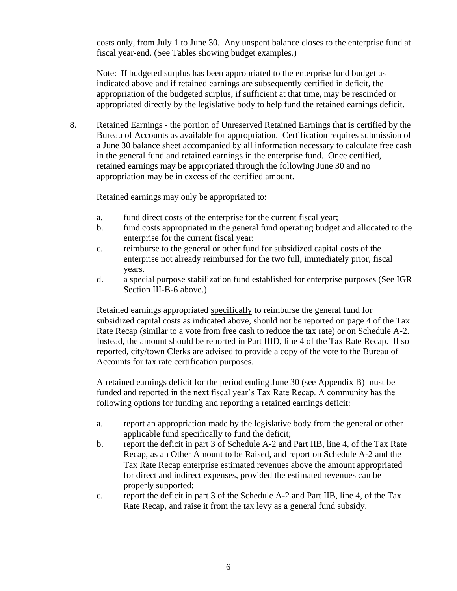costs only, from July 1 to June 30. Any unspent balance closes to the enterprise fund at fiscal year-end. (See Tables showing budget examples.)

Note: If budgeted surplus has been appropriated to the enterprise fund budget as indicated above and if retained earnings are subsequently certified in deficit, the appropriation of the budgeted surplus, if sufficient at that time, may be rescinded or appropriated directly by the legislative body to help fund the retained earnings deficit.

8. Retained Earnings - the portion of Unreserved Retained Earnings that is certified by the Bureau of Accounts as available for appropriation. Certification requires submission of a June 30 balance sheet accompanied by all information necessary to calculate free cash in the general fund and retained earnings in the enterprise fund. Once certified, retained earnings may be appropriated through the following June 30 and no appropriation may be in excess of the certified amount.

Retained earnings may only be appropriated to:

- a. fund direct costs of the enterprise for the current fiscal year;
- b. fund costs appropriated in the general fund operating budget and allocated to the enterprise for the current fiscal year;
- c. reimburse to the general or other fund for subsidized capital costs of the enterprise not already reimbursed for the two full, immediately prior, fiscal years.
- d. a special purpose stabilization fund established for enterprise purposes (See IGR Section III-B-6 above.)

Retained earnings appropriated specifically to reimburse the general fund for subsidized capital costs as indicated above, should not be reported on page 4 of the Tax Rate Recap (similar to a vote from free cash to reduce the tax rate) or on Schedule A-2. Instead, the amount should be reported in Part IIID, line 4 of the Tax Rate Recap. If so reported, city/town Clerks are advised to provide a copy of the vote to the Bureau of Accounts for tax rate certification purposes.

A retained earnings deficit for the period ending June 30 (see Appendix B) must be funded and reported in the next fiscal year's Tax Rate Recap. A community has the following options for funding and reporting a retained earnings deficit:

- a. report an appropriation made by the legislative body from the general or other applicable fund specifically to fund the deficit;
- b. report the deficit in part 3 of Schedule A-2 and Part IIB, line 4, of the Tax Rate Recap, as an Other Amount to be Raised, and report on Schedule A-2 and the Tax Rate Recap enterprise estimated revenues above the amount appropriated for direct and indirect expenses, provided the estimated revenues can be properly supported;
- c. report the deficit in part 3 of the Schedule A-2 and Part IIB, line 4, of the Tax Rate Recap, and raise it from the tax levy as a general fund subsidy.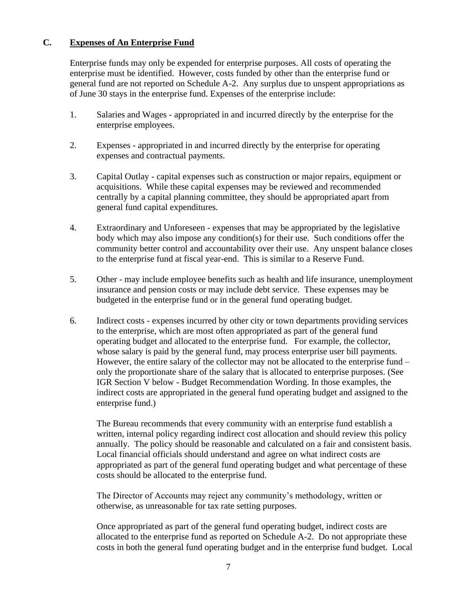#### **C. Expenses of An Enterprise Fund**

Enterprise funds may only be expended for enterprise purposes. All costs of operating the enterprise must be identified. However, costs funded by other than the enterprise fund or general fund are not reported on Schedule A-2. Any surplus due to unspent appropriations as of June 30 stays in the enterprise fund. Expenses of the enterprise include:

- 1. Salaries and Wages appropriated in and incurred directly by the enterprise for the enterprise employees.
- 2. Expenses appropriated in and incurred directly by the enterprise for operating expenses and contractual payments.
- 3. Capital Outlay capital expenses such as construction or major repairs, equipment or acquisitions. While these capital expenses may be reviewed and recommended centrally by a capital planning committee, they should be appropriated apart from general fund capital expenditures.
- 4. Extraordinary and Unforeseen expenses that may be appropriated by the legislative body which may also impose any condition(s) for their use. Such conditions offer the community better control and accountability over their use. Any unspent balance closes to the enterprise fund at fiscal year-end. This is similar to a Reserve Fund.
- 5. Other may include employee benefits such as health and life insurance, unemployment insurance and pension costs or may include debt service. These expenses may be budgeted in the enterprise fund or in the general fund operating budget.
- 6. Indirect costs expenses incurred by other city or town departments providing services to the enterprise, which are most often appropriated as part of the general fund operating budget and allocated to the enterprise fund. For example, the collector, whose salary is paid by the general fund, may process enterprise user bill payments. However, the entire salary of the collector may not be allocated to the enterprise fund – only the proportionate share of the salary that is allocated to enterprise purposes. (See IGR Section V below - Budget Recommendation Wording. In those examples, the indirect costs are appropriated in the general fund operating budget and assigned to the enterprise fund.)

The Bureau recommends that every community with an enterprise fund establish a written, internal policy regarding indirect cost allocation and should review this policy annually. The policy should be reasonable and calculated on a fair and consistent basis. Local financial officials should understand and agree on what indirect costs are appropriated as part of the general fund operating budget and what percentage of these costs should be allocated to the enterprise fund.

The Director of Accounts may reject any community's methodology, written or otherwise, as unreasonable for tax rate setting purposes.

Once appropriated as part of the general fund operating budget, indirect costs are allocated to the enterprise fund as reported on Schedule A-2. Do not appropriate these costs in both the general fund operating budget and in the enterprise fund budget. Local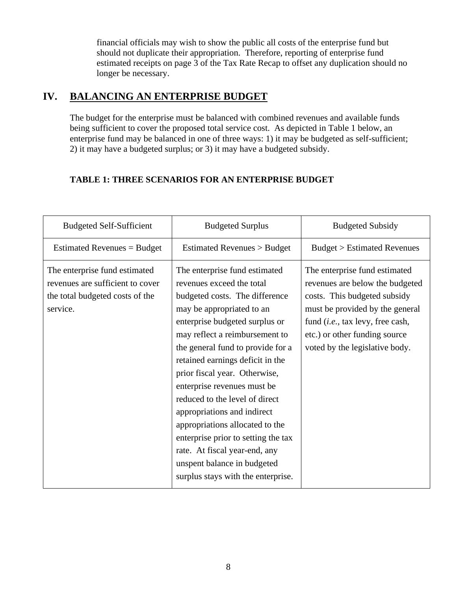financial officials may wish to show the public all costs of the enterprise fund but should not duplicate their appropriation. Therefore, reporting of enterprise fund estimated receipts on page 3 of the Tax Rate Recap to offset any duplication should no longer be necessary.

### **IV. BALANCING AN ENTERPRISE BUDGET**

The budget for the enterprise must be balanced with combined revenues and available funds being sufficient to cover the proposed total service cost. As depicted in Table 1 below, an enterprise fund may be balanced in one of three ways: 1) it may be budgeted as self-sufficient; 2) it may have a budgeted surplus; or 3) it may have a budgeted subsidy.

### **TABLE 1: THREE SCENARIOS FOR AN ENTERPRISE BUDGET**

| <b>Budgeted Self-Sufficient</b>                                                                                  | <b>Budgeted Surplus</b>                                                                                                                                                                                                                                                                                                                                                                                                                                                                                                                                                                 | <b>Budgeted Subsidy</b>                                                                                                                                                                                                                             |
|------------------------------------------------------------------------------------------------------------------|-----------------------------------------------------------------------------------------------------------------------------------------------------------------------------------------------------------------------------------------------------------------------------------------------------------------------------------------------------------------------------------------------------------------------------------------------------------------------------------------------------------------------------------------------------------------------------------------|-----------------------------------------------------------------------------------------------------------------------------------------------------------------------------------------------------------------------------------------------------|
| Estimated Revenues = Budget                                                                                      | Estimated Revenues > Budget                                                                                                                                                                                                                                                                                                                                                                                                                                                                                                                                                             | <b>Budget &gt; Estimated Revenues</b>                                                                                                                                                                                                               |
| The enterprise fund estimated<br>revenues are sufficient to cover<br>the total budgeted costs of the<br>service. | The enterprise fund estimated<br>revenues exceed the total<br>budgeted costs. The difference<br>may be appropriated to an<br>enterprise budgeted surplus or<br>may reflect a reimbursement to<br>the general fund to provide for a<br>retained earnings deficit in the<br>prior fiscal year. Otherwise,<br>enterprise revenues must be<br>reduced to the level of direct<br>appropriations and indirect<br>appropriations allocated to the<br>enterprise prior to setting the tax<br>rate. At fiscal year-end, any<br>unspent balance in budgeted<br>surplus stays with the enterprise. | The enterprise fund estimated<br>revenues are below the budgeted<br>costs. This budgeted subsidy<br>must be provided by the general<br>fund ( <i>i.e.</i> , tax levy, free cash,<br>etc.) or other funding source<br>voted by the legislative body. |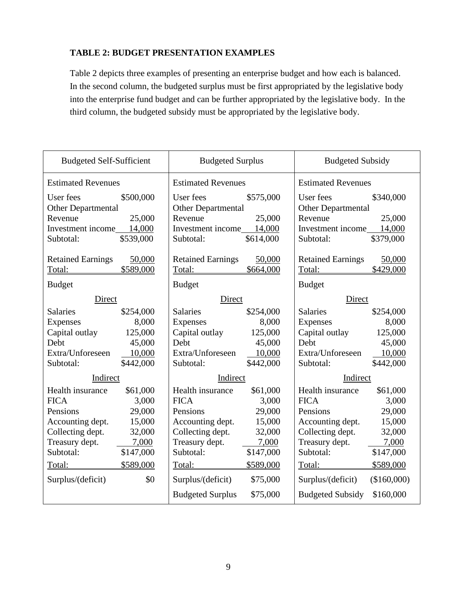### **TABLE 2: BUDGET PRESENTATION EXAMPLES**

Table 2 depicts three examples of presenting an enterprise budget and how each is balanced. In the second column, the budgeted surplus must be first appropriated by the legislative body into the enterprise fund budget and can be further appropriated by the legislative body. In the third column, the budgeted subsidy must be appropriated by the legislative body.

| <b>Budgeted Self-Sufficient</b>                                                                                                                                                                                                             | <b>Budgeted Surplus</b>                                                                                                                                                                                                                                                                    | <b>Budgeted Subsidy</b>                                                                                                                                                                                                                                                                        |  |
|---------------------------------------------------------------------------------------------------------------------------------------------------------------------------------------------------------------------------------------------|--------------------------------------------------------------------------------------------------------------------------------------------------------------------------------------------------------------------------------------------------------------------------------------------|------------------------------------------------------------------------------------------------------------------------------------------------------------------------------------------------------------------------------------------------------------------------------------------------|--|
| <b>Estimated Revenues</b>                                                                                                                                                                                                                   | <b>Estimated Revenues</b>                                                                                                                                                                                                                                                                  | <b>Estimated Revenues</b>                                                                                                                                                                                                                                                                      |  |
| \$500,000<br>User fees<br><b>Other Departmental</b><br>25,000<br>Revenue<br>Investment income 14,000<br>\$539,000<br>Subtotal:                                                                                                              | User fees<br>\$575,000<br><b>Other Departmental</b><br>Revenue<br>25,000<br>Investment income 14,000<br>\$614,000<br>Subtotal:                                                                                                                                                             | User fees<br>\$340,000<br><b>Other Departmental</b><br>Revenue<br>25,000<br>Investment income 14,000<br>\$379,000<br>Subtotal:                                                                                                                                                                 |  |
| <b>Retained Earnings</b><br>50,000<br>\$589,000<br>Total:<br><b>Budget</b>                                                                                                                                                                  | <b>Retained Earnings</b><br>50,000<br>\$664,000<br>Total:<br><b>Budget</b>                                                                                                                                                                                                                 | <b>Retained Earnings</b><br>50,000<br>\$429,000<br>Total:<br><b>Budget</b>                                                                                                                                                                                                                     |  |
| Direct                                                                                                                                                                                                                                      | Direct                                                                                                                                                                                                                                                                                     | Direct                                                                                                                                                                                                                                                                                         |  |
| <b>Salaries</b><br>\$254,000<br>8,000<br><b>Expenses</b><br>Capital outlay<br>125,000<br>Debt<br>45,000<br>Extra/Unforeseen<br>10,000<br>\$442,000<br>Subtotal:                                                                             | <b>Salaries</b><br>\$254,000<br>Expenses<br>8,000<br>Capital outlay<br>125,000<br>Debt<br>45,000<br>Extra/Unforeseen<br>10,000<br>\$442,000<br>Subtotal:                                                                                                                                   | <b>Salaries</b><br>\$254,000<br>Expenses<br>8,000<br>Capital outlay<br>125,000<br>Debt<br>45,000<br>Extra/Unforeseen<br>10,000<br>Subtotal:<br>\$442,000                                                                                                                                       |  |
| Indirect                                                                                                                                                                                                                                    | Indirect                                                                                                                                                                                                                                                                                   | Indirect                                                                                                                                                                                                                                                                                       |  |
| Health insurance<br>\$61,000<br><b>FICA</b><br>3,000<br>29,000<br>Pensions<br>Accounting dept.<br>15,000<br>32,000<br>Collecting dept.<br>Treasury dept.<br>7,000<br>\$147,000<br>Subtotal:<br>Total: \$589,000<br>\$0<br>Surplus/(deficit) | Health insurance<br>\$61,000<br><b>FICA</b><br>3,000<br>Pensions<br>29,000<br>Accounting dept.<br>15,000<br>32,000<br>Collecting dept.<br>Treasury dept.<br>7,000<br>Subtotal:<br>\$147,000<br>\$589,000<br>Total:<br>Surplus/(deficit)<br>\$75,000<br><b>Budgeted Surplus</b><br>\$75,000 | Health insurance<br>\$61,000<br><b>FICA</b><br>3,000<br>Pensions<br>29,000<br>Accounting dept.<br>15,000<br>Collecting dept.<br>32,000<br>Treasury dept.<br>7,000<br>Subtotal:<br>\$147,000<br>\$589,000<br>Total:<br>Surplus/(deficit)<br>(\$160,000)<br><b>Budgeted Subsidy</b><br>\$160,000 |  |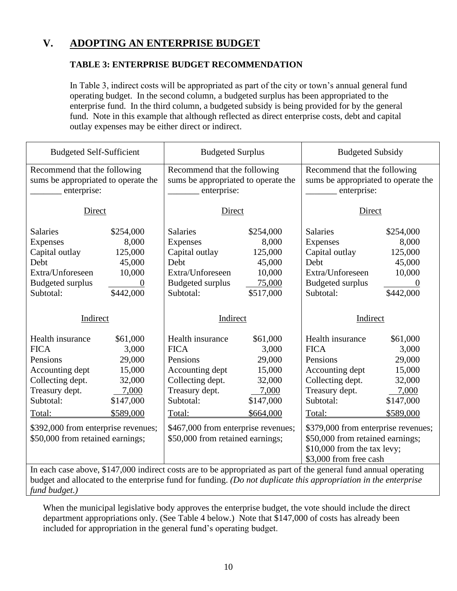### **V. ADOPTING AN ENTERPRISE BUDGET**

#### **TABLE 3: ENTERPRISE BUDGET RECOMMENDATION**

In Table 3, indirect costs will be appropriated as part of the city or town's annual general fund operating budget. In the second column, a budgeted surplus has been appropriated to the enterprise fund. In the third column, a budgeted subsidy is being provided for by the general fund. Note in this example that although reflected as direct enterprise costs, debt and capital outlay expenses may be either direct or indirect.

| <b>Budgeted Self-Sufficient</b>     |                | <b>Budgeted Surplus</b>                                                                                                                                                                                                             |           | <b>Budgeted Subsidy</b>             |                              |  |
|-------------------------------------|----------------|-------------------------------------------------------------------------------------------------------------------------------------------------------------------------------------------------------------------------------------|-----------|-------------------------------------|------------------------------|--|
| Recommend that the following        |                | Recommend that the following                                                                                                                                                                                                        |           |                                     | Recommend that the following |  |
| sums be appropriated to operate the |                | sums be appropriated to operate the                                                                                                                                                                                                 |           | sums be appropriated to operate the |                              |  |
| enterprise:                         |                | enterprise:                                                                                                                                                                                                                         |           | enterprise:                         |                              |  |
| Direct                              |                | Direct                                                                                                                                                                                                                              |           | Direct                              |                              |  |
| <b>Salaries</b>                     | \$254,000      | <b>Salaries</b>                                                                                                                                                                                                                     | \$254,000 | <b>Salaries</b>                     | \$254,000                    |  |
| Expenses                            | 8,000          | Expenses                                                                                                                                                                                                                            | 8,000     | Expenses                            | 8,000                        |  |
| Capital outlay                      | 125,000        | Capital outlay                                                                                                                                                                                                                      | 125,000   | Capital outlay                      | 125,000                      |  |
| Debt                                | 45,000         | Debt                                                                                                                                                                                                                                | 45,000    | Debt                                | 45,000                       |  |
| Extra/Unforeseen                    | 10,000         | Extra/Unforeseen                                                                                                                                                                                                                    | 10,000    | Extra/Unforeseen                    | 10,000                       |  |
| <b>Budgeted surplus</b>             | $\overline{0}$ | <b>Budgeted surplus</b>                                                                                                                                                                                                             | 75,000    | <b>Budgeted surplus</b>             | $\overline{0}$               |  |
| Subtotal:                           | \$442,000      | Subtotal:<br>\$517,000                                                                                                                                                                                                              |           | Subtotal:                           | \$442,000                    |  |
|                                     |                |                                                                                                                                                                                                                                     |           |                                     |                              |  |
| Indirect                            |                | Indirect                                                                                                                                                                                                                            |           | Indirect                            |                              |  |
| Health insurance                    | \$61,000       | Health insurance                                                                                                                                                                                                                    | \$61,000  | Health insurance                    | \$61,000                     |  |
| <b>FICA</b>                         | 3,000          | <b>FICA</b>                                                                                                                                                                                                                         | 3,000     | <b>FICA</b>                         | 3,000                        |  |
| Pensions                            |                |                                                                                                                                                                                                                                     |           |                                     |                              |  |
|                                     | 29,000         | Pensions                                                                                                                                                                                                                            | 29,000    | Pensions                            | 29,000                       |  |
| Accounting dept                     | 15,000         | Accounting dept                                                                                                                                                                                                                     | 15,000    | Accounting dept                     | 15,000                       |  |
| Collecting dept.                    | 32,000         | Collecting dept.                                                                                                                                                                                                                    | 32,000    | Collecting dept.                    | 32,000                       |  |
| Treasury dept.                      | 7,000          | Treasury dept.                                                                                                                                                                                                                      | 7,000     | Treasury dept.                      | 7,000                        |  |
| Subtotal:                           | \$147,000      | Subtotal:                                                                                                                                                                                                                           | \$147,000 | Subtotal:                           | \$147,000                    |  |
| Total:                              | \$589,000      | Total:                                                                                                                                                                                                                              | \$664,000 | Total:                              | \$589,000                    |  |
| \$392,000 from enterprise revenues; |                | \$467,000 from enterprise revenues;                                                                                                                                                                                                 |           | \$379,000 from enterprise revenues; |                              |  |
| \$50,000 from retained earnings;    |                | \$50,000 from retained earnings;                                                                                                                                                                                                    |           | \$50,000 from retained earnings;    |                              |  |
|                                     |                |                                                                                                                                                                                                                                     |           | \$10,000 from the tax levy;         |                              |  |
|                                     |                |                                                                                                                                                                                                                                     |           | \$3,000 from free cash              |                              |  |
|                                     |                | In each case above, \$147,000 indirect costs are to be appropriated as part of the general fund annual operating<br>budget and allocated to the enterprise fund for funding. (Do not duplicate this appropriation in the enterprise |           |                                     |                              |  |

budget and allocated to the enterprise fund for funding. *(Do not duplicate this appropriation in the enterprise fund budget.)*

When the municipal legislative body approves the enterprise budget, the vote should include the direct department appropriations only. (See Table 4 below.) Note that \$147,000 of costs has already been included for appropriation in the general fund's operating budget.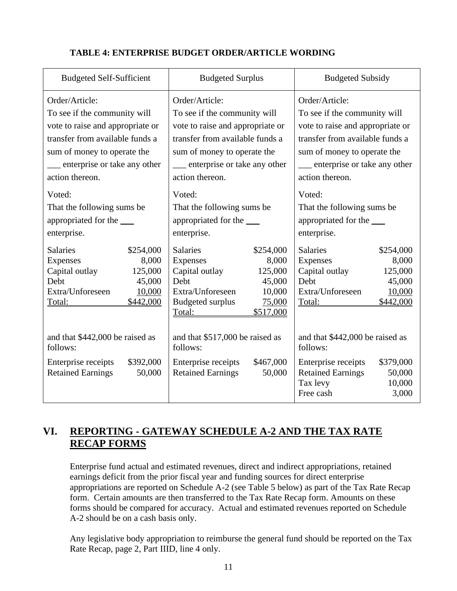| <b>Budgeted Self-Sufficient</b>                                                                                                                                                                                                                                                    | <b>Budgeted Surplus</b>                                                                                                                                                                                                                                                            | <b>Budgeted Subsidy</b>                                                                                                                                                                                                                                                             |  |
|------------------------------------------------------------------------------------------------------------------------------------------------------------------------------------------------------------------------------------------------------------------------------------|------------------------------------------------------------------------------------------------------------------------------------------------------------------------------------------------------------------------------------------------------------------------------------|-------------------------------------------------------------------------------------------------------------------------------------------------------------------------------------------------------------------------------------------------------------------------------------|--|
| Order/Article:<br>To see if the community will<br>vote to raise and appropriate or<br>transfer from available funds a<br>sum of money to operate the<br>__ enterprise or take any other<br>action thereon.<br>Voted:<br>That the following sums be<br>appropriated for the _______ | Order/Article:<br>To see if the community will<br>vote to raise and appropriate or<br>transfer from available funds a<br>sum of money to operate the<br>___ enterprise or take any other<br>action thereon.<br>Voted:<br>That the following sums be<br>appropriated for the ______ | Order/Article:<br>To see if the community will<br>vote to raise and appropriate or<br>transfer from available funds a<br>sum of money to operate the<br>____ enterprise or take any other<br>action thereon.<br>Voted:<br>That the following sums be<br>appropriated for the ______ |  |
| enterprise.                                                                                                                                                                                                                                                                        | enterprise.                                                                                                                                                                                                                                                                        | enterprise.                                                                                                                                                                                                                                                                         |  |
| <b>Salaries</b><br>\$254,000<br><b>Expenses</b><br>8,000<br>Capital outlay<br>125,000<br>45,000<br>Debt<br>Extra/Unforeseen<br>10,000<br>\$442,000<br>Total:                                                                                                                       | <b>Salaries</b><br>\$254,000<br>Expenses<br>8,000<br>Capital outlay<br>125,000<br>45,000<br>Debt<br>Extra/Unforeseen<br>10,000<br><b>Budgeted surplus</b><br>75,000<br>\$517,000<br>Total:                                                                                         | <b>Salaries</b><br>\$254,000<br><b>Expenses</b><br>8,000<br>Capital outlay<br>125,000<br>Debt<br>45,000<br>Extra/Unforeseen<br>10,000<br>Total:<br>\$442,000                                                                                                                        |  |
| and that \$442,000 be raised as<br>follows:                                                                                                                                                                                                                                        | and that \$517,000 be raised as<br>follows:                                                                                                                                                                                                                                        | and that \$442,000 be raised as<br>follows:                                                                                                                                                                                                                                         |  |
| \$392,000<br>Enterprise receipts<br><b>Retained Earnings</b><br>50,000                                                                                                                                                                                                             | \$467,000<br>Enterprise receipts<br><b>Retained Earnings</b><br>50,000                                                                                                                                                                                                             | \$379,000<br>Enterprise receipts<br><b>Retained Earnings</b><br>50,000<br>Tax levy<br>10,000<br>Free cash<br>3,000                                                                                                                                                                  |  |

### **TABLE 4: ENTERPRISE BUDGET ORDER/ARTICLE WORDING**

### **VI. REPORTING - GATEWAY SCHEDULE A-2 AND THE TAX RATE RECAP FORMS**

Enterprise fund actual and estimated revenues, direct and indirect appropriations, retained earnings deficit from the prior fiscal year and funding sources for direct enterprise appropriations are reported on Schedule A-2 (see Table 5 below) as part of the Tax Rate Recap form. Certain amounts are then transferred to the Tax Rate Recap form. Amounts on these forms should be compared for accuracy. Actual and estimated revenues reported on Schedule A-2 should be on a cash basis only.

Any legislative body appropriation to reimburse the general fund should be reported on the Tax Rate Recap, page 2, Part IIID, line 4 only.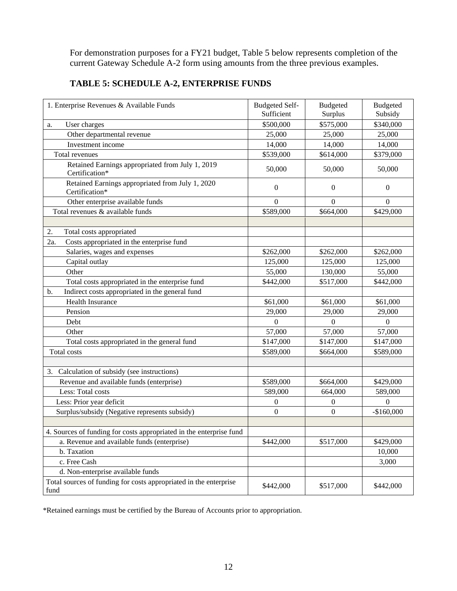For demonstration purposes for a FY21 budget, Table 5 below represents completion of the current Gateway Schedule A-2 form using amounts from the three previous examples.

| 1. Enterprise Revenues & Available Funds                                  | <b>Budgeted Self-</b><br>Sufficient | Budgeted<br>Surplus | <b>Budgeted</b><br>Subsidy |
|---------------------------------------------------------------------------|-------------------------------------|---------------------|----------------------------|
| User charges<br>a.                                                        | \$500,000                           | \$575,000           | \$340,000                  |
| Other departmental revenue                                                | 25,000                              | 25,000              | 25,000                     |
| Investment income                                                         | 14,000                              | 14,000              | 14,000                     |
| Total revenues                                                            | \$539,000                           | \$614,000           | \$379,000                  |
| Retained Earnings appropriated from July 1, 2019<br>Certification*        | 50,000                              | 50,000              | 50,000                     |
| Retained Earnings appropriated from July 1, 2020<br>Certification*        | $\boldsymbol{0}$                    | $\boldsymbol{0}$    | $\overline{0}$             |
| Other enterprise available funds                                          | $\overline{0}$                      | $\boldsymbol{0}$    | $\mathbf{0}$               |
| Total revenues & available funds                                          | \$589,000                           | \$664,000           | \$429,000                  |
|                                                                           |                                     |                     |                            |
| 2.<br>Total costs appropriated                                            |                                     |                     |                            |
| Costs appropriated in the enterprise fund<br>2a.                          |                                     |                     |                            |
| Salaries, wages and expenses                                              | \$262,000                           | \$262,000           | \$262,000                  |
| Capital outlay                                                            | 125,000                             | 125,000             | 125,000                    |
| Other                                                                     | 55,000                              | 130,000             | 55,000                     |
| Total costs appropriated in the enterprise fund                           | \$442,000                           | \$517,000           | \$442,000                  |
| Indirect costs appropriated in the general fund<br>b.                     |                                     |                     |                            |
| <b>Health Insurance</b>                                                   | \$61,000                            | \$61,000            | \$61,000                   |
| Pension                                                                   | 29,000                              | 29,000              | 29,000                     |
| Debt                                                                      | $\theta$                            | $\boldsymbol{0}$    | $\boldsymbol{0}$           |
| Other                                                                     | 57,000                              | 57,000              | 57,000                     |
| Total costs appropriated in the general fund                              | \$147,000                           | \$147,000           | \$147,000                  |
| Total costs                                                               | \$589,000                           | \$664,000           | \$589,000                  |
|                                                                           |                                     |                     |                            |
| Calculation of subsidy (see instructions)<br>3.                           |                                     |                     |                            |
| Revenue and available funds (enterprise)                                  | \$589,000                           | \$664,000           | \$429,000                  |
| Less: Total costs                                                         | 589,000                             | 664,000             | 589,000                    |
| Less: Prior year deficit                                                  | $\boldsymbol{0}$                    | $\boldsymbol{0}$    | $\overline{0}$             |
| Surplus/subsidy (Negative represents subsidy)                             | $\boldsymbol{0}$                    | $\boldsymbol{0}$    | $-$160,000$                |
|                                                                           |                                     |                     |                            |
| 4. Sources of funding for costs appropriated in the enterprise fund       |                                     |                     |                            |
| a. Revenue and available funds (enterprise)                               | \$442,000                           | \$517,000           | \$429,000                  |
| b. Taxation                                                               |                                     |                     | 10,000                     |
| c. Free Cash                                                              |                                     |                     | 3,000                      |
| d. Non-enterprise available funds                                         |                                     |                     |                            |
| Total sources of funding for costs appropriated in the enterprise<br>fund | \$442,000                           | \$517,000           | \$442,000                  |

### **TABLE 5: SCHEDULE A-2, ENTERPRISE FUNDS**

\*Retained earnings must be certified by the Bureau of Accounts prior to appropriation.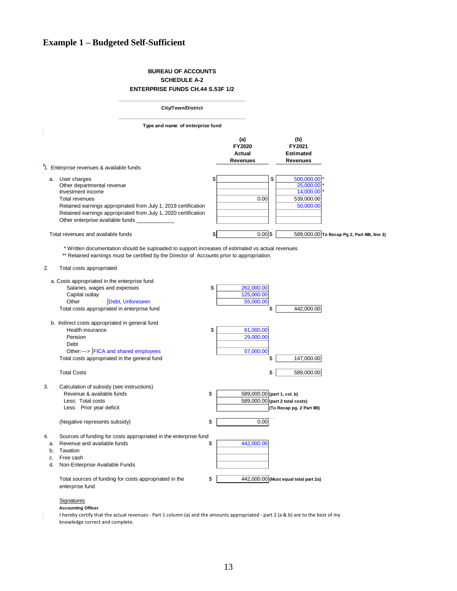#### **Example 1 – Budgeted Self-Sufficient**

#### **BUREAU OF ACCOUNTS SCHEDULE A-2 ENTERPRISE FUNDS CH.44 S.53F 1/2**

|    | <b>City/Town/District</b>                                                                                                                                                                                                                                                                                                                                 |                                             |                                                                       |
|----|-----------------------------------------------------------------------------------------------------------------------------------------------------------------------------------------------------------------------------------------------------------------------------------------------------------------------------------------------------------|---------------------------------------------|-----------------------------------------------------------------------|
|    | Type and name of enterprise fund                                                                                                                                                                                                                                                                                                                          |                                             |                                                                       |
|    |                                                                                                                                                                                                                                                                                                                                                           | (a)<br>FY2020<br>Actual<br><b>Revenues</b>  | (b)<br>FY2021<br><b>Estimated</b><br><b>Revenues</b>                  |
|    | 1. Enterprise revenues & available funds                                                                                                                                                                                                                                                                                                                  |                                             |                                                                       |
|    | a. User charges<br>Other departmental revenue<br>Investment income<br><b>Total revenues</b><br>Retained earnings appropriated from July 1, 2019 certification<br>Retained earnings appropriated from July 1, 2020 certification<br>Other enterprise available funds                                                                                       | \$<br>0.00                                  | 500,000.00<br>\$<br>25,000.00<br>14,000.00<br>539,000.00<br>50,000.00 |
|    | Total revenues and available funds                                                                                                                                                                                                                                                                                                                        | \$<br>$0.00$ \$                             | 589,000.00 To Recap Pg 2, Part IIIB, line 3)                          |
| 2. | * Written documentation should be suploaded to support increases of estimated vs actual revenues<br>** Retained earnings must be certified by the Director of Accounts prior to appropriation.<br>Total costs appropriated<br>a. Costs appropriated in the enterprise fund<br>Salaries, wages and expenses<br>Capital outlay<br>Other<br>Debt, Unforeseen | \$<br>262,000.00<br>125,000.00<br>55,000.00 |                                                                       |
|    | Total costs appropriated in enterprise fund                                                                                                                                                                                                                                                                                                               |                                             | 442,000.00<br>\$                                                      |
|    | b. Indirect costs appropriated in general fund<br>Health insurance<br>Pension<br>Debt<br>Other:---> FICA and shared employees<br>Total costs appropriated in the general fund                                                                                                                                                                             | \$<br>61,000.00<br>29,000.00<br>57,000.00   | \$<br>147,000.00                                                      |
|    | <b>Total Costs</b>                                                                                                                                                                                                                                                                                                                                        |                                             | \$<br>589,000.00                                                      |
| 3. | Calculation of subsidy (see instructions)<br>Revenue & available funds<br>Less: Total costs<br>Less: Prior year deficit                                                                                                                                                                                                                                   | \$<br>589,000.00 (part 1, col. b)           | 589,000.00 (part 2 total costs)<br>(To Recap pg. 2 Part IIB)          |

a. Revenue and available funds  $\frac{1}{2}$   $\frac{442,000.00}{442,000.00}$ Less: P<br>
(Negative<br>
Sources of<br>
a. Revenue a<br>
b. Taxation<br>
c. Free cash (Negative represents subsidy)<br>Sources of funding for costs app<br>a. Revenue and available funds<br>b. Taxation<br>c. Free cash<br>d. Non-Enterprise Available Funds

4. Sources of funding for costs appropriated in the enterprise fund

Total sources of funding for costs appropriated in the  $$ 442,000.00$  (Must equal total part 2a) enterprise fund

(Negative represents subsidy)  $\qquad$   $\qquad$  0.00

#### **Signatures**

**Accounting Officer**

I hereby certify that the actual revenues - Part 1 column (a) and the amounts appropriated - part 2 (a & b) are to the best of my knowledge correct and complete.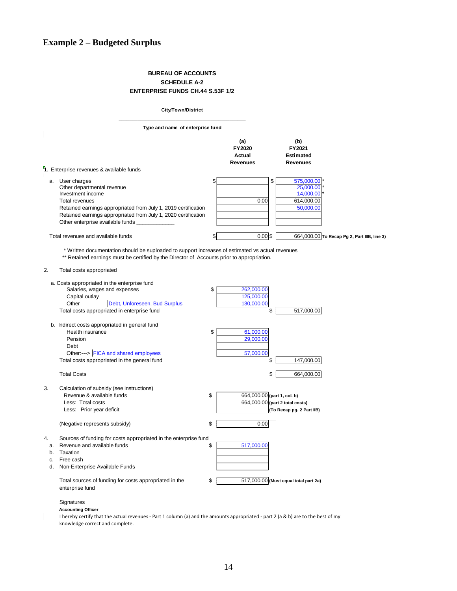#### **BUREAU OF ACCOUNTS SCHEDULE A-2 ENTERPRISE FUNDS CH.44 S.53F 1/2**

|                                                                                                                                                                               | City/Town/District                                                                                                                                                                             |          |                                        |                                                                       |
|-------------------------------------------------------------------------------------------------------------------------------------------------------------------------------|------------------------------------------------------------------------------------------------------------------------------------------------------------------------------------------------|----------|----------------------------------------|-----------------------------------------------------------------------|
|                                                                                                                                                                               | Type and name of enterprise fund                                                                                                                                                               |          |                                        |                                                                       |
|                                                                                                                                                                               |                                                                                                                                                                                                |          | (a)<br>FY2020<br>Actual<br>Revenues    | (b)<br>FY2021<br><b>Estimated</b><br>Revenues                         |
| <sup>7</sup> 1. Enterprise revenues & available funds                                                                                                                         |                                                                                                                                                                                                |          |                                        |                                                                       |
| User charges<br>a.<br>Other departmental revenue<br>Investment income<br><b>Total revenues</b><br>Other enterprise available funds                                            | Retained earnings appropriated from July 1, 2019 certification<br>Retained earnings appropriated from July 1, 2020 certification                                                               | \$       | 0.00                                   | \$<br>575,000.00<br>25,000.00<br>14,000.00<br>614,000.00<br>50,000.00 |
| Total revenues and available funds                                                                                                                                            |                                                                                                                                                                                                | \$       | $0.00$ \$                              | 664,000.00 To Recap Pg 2, Part IIIB, line 3)                          |
| 2.<br>Total costs appropriated                                                                                                                                                | * Written documentation should be suploaded to support increases of estimated vs actual revenues<br>** Retained earnings must be certified by the Director of Accounts prior to appropriation. |          |                                        |                                                                       |
| a. Costs appropriated in the enterprise fund<br>Salaries, wages and expenses<br>Capital outlay<br>Other<br>Total costs appropriated in enterprise fund                        | Debt, Unforeseen, Bud Surplus                                                                                                                                                                  | \$       | 262,000.00<br>125,000.00<br>130,000.00 | \$<br>517,000.00                                                      |
| b. Indirect costs appropriated in general fund<br>Health insurance<br>Pension<br>Debt<br>Other:---> FICA and shared employees<br>Total costs appropriated in the general fund |                                                                                                                                                                                                | \$       | 61,000.00<br>29,000.00<br>57,000.00    | \$<br>147,000.00                                                      |
| <b>Total Costs</b>                                                                                                                                                            |                                                                                                                                                                                                |          |                                        | \$<br>664,000.00                                                      |
| 3.<br>Calculation of subsidy (see instructions)<br>Revenue & available funds<br>Less: Total costs<br>Less: Prior year deficit<br>(Negative represents subsidy)                |                                                                                                                                                                                                | \$<br>\$ | 664,000.00 (part 1, col. b)<br>0.00    | 664,000.00 (part 2 total costs)<br>(To Recap pg. 2 Part IIB)          |
|                                                                                                                                                                               |                                                                                                                                                                                                |          |                                        |                                                                       |
| 4.<br>Revenue and available funds<br>a.<br>Taxation<br>b.<br>Free cash<br>c.<br>Non-Enterprise Available Funds<br>d.<br>enterprise fund                                       | Sources of funding for costs appropriated in the enterprise fund<br>Total sources of funding for costs appropriated in the                                                                     | \$<br>\$ | 517,000.00                             | 517,000.00 (Must equal total part 2a)                                 |
| <b>Signatures</b><br><b>Accounting Officer</b><br>knowledge correct and complete.                                                                                             | I hereby certify that the actual revenues - Part 1 column (a) and the amounts appropriated - part 2 (a & b) are to the best of my                                                              |          |                                        |                                                                       |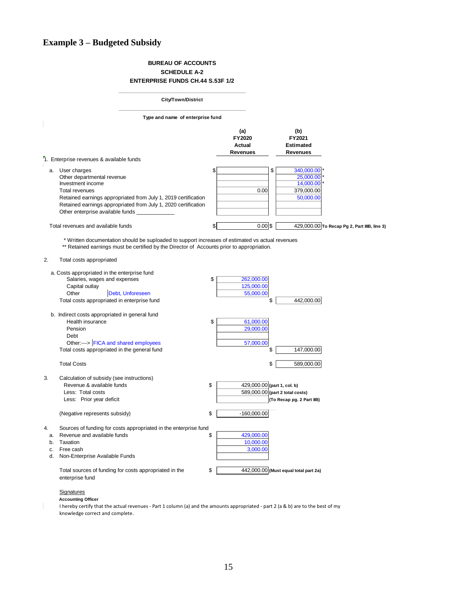### **Example 3 – Budgeted Subsidy**

#### **BUREAU OF ACCOUNTS SCHEDULE A-2 ENTERPRISE FUNDS CH.44 S.53F 1/2**

|                                                                                                                                                                                                                                                                     | <b>City/Town/District</b>        |                                                   |                                                                       |
|---------------------------------------------------------------------------------------------------------------------------------------------------------------------------------------------------------------------------------------------------------------------|----------------------------------|---------------------------------------------------|-----------------------------------------------------------------------|
|                                                                                                                                                                                                                                                                     | Type and name of enterprise fund |                                                   |                                                                       |
|                                                                                                                                                                                                                                                                     |                                  | (a)<br><b>FY2020</b><br>Actual<br><b>Revenues</b> | (b)<br>FY2021<br><b>Estimated</b><br><b>Revenues</b>                  |
| 1. Enterprise revenues & available funds                                                                                                                                                                                                                            |                                  |                                                   |                                                                       |
| a. User charges<br>Other departmental revenue<br>Investment income<br><b>Total revenues</b><br>Retained earnings appropriated from July 1, 2019 certification<br>Retained earnings appropriated from July 1, 2020 certification<br>Other enterprise available funds | \$                               | 0.00                                              | \$<br>340,000.00<br>25,000.00<br>14,000.00<br>379,000.00<br>50,000.00 |
| Total revenues and available funds                                                                                                                                                                                                                                  | \$                               | $0.00$ \$                                         | 429,000.00 To Recap Pg 2, Part IIIB, line 3)                          |
| * Written documentation should be suploaded to support increases of estimated vs actual revenues<br>** Retained earnings must be certified by the Director of Accounts prior to appropriation.<br>2.<br>Total costs appropriated                                    |                                  |                                                   |                                                                       |
| a. Costs appropriated in the enterprise fund<br>Salaries, wages and expenses<br>Capital outlay<br>Other<br>Debt, Unforeseen<br>Total costs appropriated in enterprise fund                                                                                          | \$                               | 262,000.00<br>125,000.00<br>55,000.00             | 442.000.00<br>\$                                                      |
| b. Indirect costs appropriated in general fund<br>Health insurance<br>Pension<br>Debt<br>Other:---> FICA and shared employees<br>Total costs appropriated in the general fund                                                                                       | \$                               | 61,000.00<br>29,000.00<br>57,000.00               | 147,000.00<br>\$                                                      |
| <b>Total Costs</b>                                                                                                                                                                                                                                                  |                                  |                                                   | \$<br>589,000.00                                                      |
| 3.<br>Calculation of subsidy (see instructions)<br>Revenue & available funds<br>Less: Total costs<br>Less: Prior year deficit<br>(Negative represents subsidy)                                                                                                      | \$<br>\$                         | 429,000.00 (part 1, col. b)<br>$-160,000.00$      | 589,000.00 (part 2 total costs)<br>(To Recap pg. 2 Part IIB)          |
| Sources of funding for costs appropriated in the enterprise fund<br>4.<br>Revenue and available funds<br>a.<br>Taxation<br>b.<br>Free cash<br>c.<br>d. Non-Enterprise Available Funds<br>Total sources of funding for costs appropriated in the<br>enterprise fund  | \$<br>\$                         | 429,000.00<br>10,000.00<br>3,000.00               | 442,000.00 (Must equal total part 2a)                                 |
| <b>Signatures</b><br><b>Accounting Officer</b><br>I hereby certify that the actual revenues - Part 1 column (a) and the amounts appropriated - part 2 (a & b) are to the best of my<br>knowledge correct and complete.                                              |                                  |                                                   |                                                                       |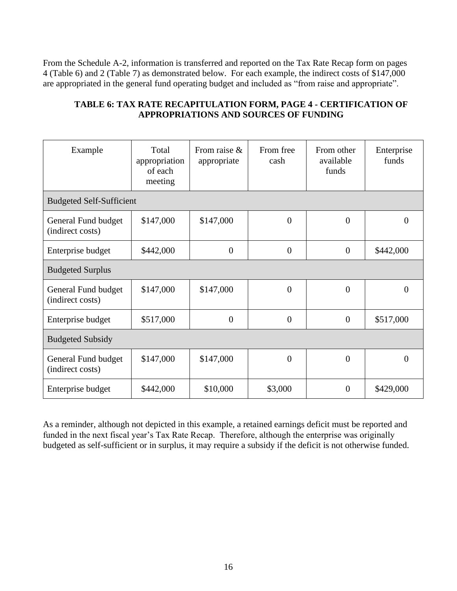From the Schedule A-2, information is transferred and reported on the Tax Rate Recap form on pages 4 (Table 6) and 2 (Table 7) as demonstrated below. For each example, the indirect costs of \$147,000 are appropriated in the general fund operating budget and included as "from raise and appropriate".

| Example                                 | Total<br>appropriation<br>of each<br>meeting | From raise $\&$<br>appropriate | From free<br>cash | From other<br>available<br>funds | Enterprise<br>funds |  |  |  |  |
|-----------------------------------------|----------------------------------------------|--------------------------------|-------------------|----------------------------------|---------------------|--|--|--|--|
| <b>Budgeted Self-Sufficient</b>         |                                              |                                |                   |                                  |                     |  |  |  |  |
| General Fund budget<br>(indirect costs) | \$147,000                                    | \$147,000                      | $\overline{0}$    | $\theta$                         | $\Omega$            |  |  |  |  |
| Enterprise budget                       | \$442,000                                    | $\overline{0}$                 | $\overline{0}$    | $\overline{0}$                   | \$442,000           |  |  |  |  |
| <b>Budgeted Surplus</b>                 |                                              |                                |                   |                                  |                     |  |  |  |  |
| General Fund budget<br>(indirect costs) | \$147,000                                    | \$147,000                      | $\overline{0}$    | $\overline{0}$                   | $\theta$            |  |  |  |  |
| Enterprise budget                       | \$517,000                                    | $\overline{0}$                 | $\overline{0}$    | $\theta$                         | \$517,000           |  |  |  |  |
| <b>Budgeted Subsidy</b>                 |                                              |                                |                   |                                  |                     |  |  |  |  |
| General Fund budget<br>(indirect costs) | \$147,000                                    | \$147,000                      | $\overline{0}$    | $\theta$                         | $\theta$            |  |  |  |  |
| Enterprise budget                       | \$442,000                                    | \$10,000                       | \$3,000           | $\theta$                         | \$429,000           |  |  |  |  |

#### **TABLE 6: TAX RATE RECAPITULATION FORM, PAGE 4 - CERTIFICATION OF APPROPRIATIONS AND SOURCES OF FUNDING**

As a reminder, although not depicted in this example, a retained earnings deficit must be reported and funded in the next fiscal year's Tax Rate Recap. Therefore, although the enterprise was originally budgeted as self-sufficient or in surplus, it may require a subsidy if the deficit is not otherwise funded.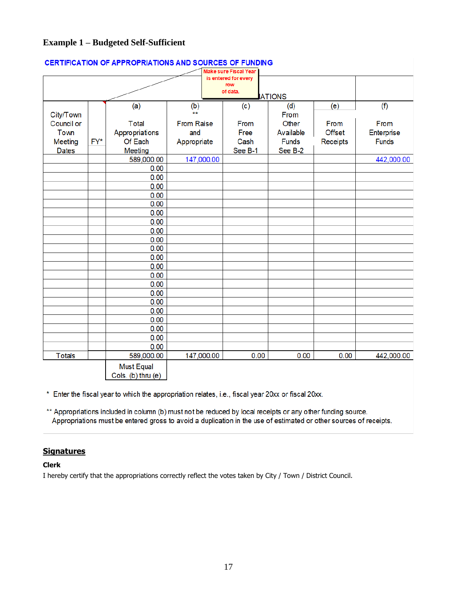#### **Example 1 – Budgeted Self-Sufficient**

|               |     |                    |                   | Make sure Fiscal Year       |               |               |              |
|---------------|-----|--------------------|-------------------|-----------------------------|---------------|---------------|--------------|
|               |     |                    |                   | is entered for every<br>row |               |               |              |
|               |     |                    |                   | of data.                    |               |               |              |
|               |     |                    |                   |                             | <b>ATIONS</b> |               |              |
|               |     | (a)                | (b)               | (c)                         | (d)           | (e)           | (f)          |
| City/Town     |     |                    | **                |                             | From          |               |              |
| Council or    |     | <b>Total</b>       | <b>From Raise</b> | From                        | Other         | From          | From         |
| <b>Town</b>   |     | Appropriations     | and               | Free                        | Available     | <b>Offset</b> | Enterprise   |
| Meeting       | FY* | Of Each            | Appropriate       | Cash                        | <b>Funds</b>  | Receipts      | <b>Funds</b> |
| <b>Dates</b>  |     | <b>Meeting</b>     |                   | See B-1                     | See B-2       |               |              |
|               |     | 589,000.00         | 147,000.00        |                             |               |               | 442,000.00   |
|               |     | 0.00               |                   |                             |               |               |              |
|               |     | 0.00               |                   |                             |               |               |              |
|               |     | 0.00               |                   |                             |               |               |              |
|               |     | 0.00               |                   |                             |               |               |              |
|               |     | 0.00               |                   |                             |               |               |              |
|               |     | 0.00               |                   |                             |               |               |              |
|               |     | 0.00               |                   |                             |               |               |              |
|               |     | 0.00               |                   |                             |               |               |              |
|               |     | 0.00               |                   |                             |               |               |              |
|               |     | 0.00               |                   |                             |               |               |              |
|               |     | 0.00               |                   |                             |               |               |              |
|               |     | 0.00               |                   |                             |               |               |              |
|               |     | 0.00               |                   |                             |               |               |              |
|               |     | 0.00               |                   |                             |               |               |              |
|               |     | 0.00               |                   |                             |               |               |              |
|               |     | 0.00               |                   |                             |               |               |              |
|               |     | 0.00               |                   |                             |               |               |              |
|               |     | 0.00               |                   |                             |               |               |              |
|               |     | 0.00               |                   |                             |               |               |              |
|               |     | 0.00               |                   |                             |               |               |              |
|               |     | 0.00               |                   |                             |               |               |              |
| <b>Totals</b> |     | 589,000.00         | 147,000.00        | 0.00                        | 0.00          | 0.00          | 442,000.00   |
|               |     | <b>Must Equal</b>  |                   |                             |               |               |              |
|               |     | Cols. (b) thru (e) |                   |                             |               |               |              |

#### **CERTIFICATION OF APPROPRIATIONS AND SOURCES OF FUNDING**

\* Enter the fiscal year to which the appropriation relates, i.e., fiscal year 20xx or fiscal 20xx.

\*\* Appropriations included in column (b) must not be reduced by local receipts or any other funding source. Appropriations must be entered gross to avoid a duplication in the use of estimated or other sources of receipts.

#### **Signatures**

#### **Clerk**

I hereby certify that the appropriations correctly reflect the votes taken by City / Town / District Council.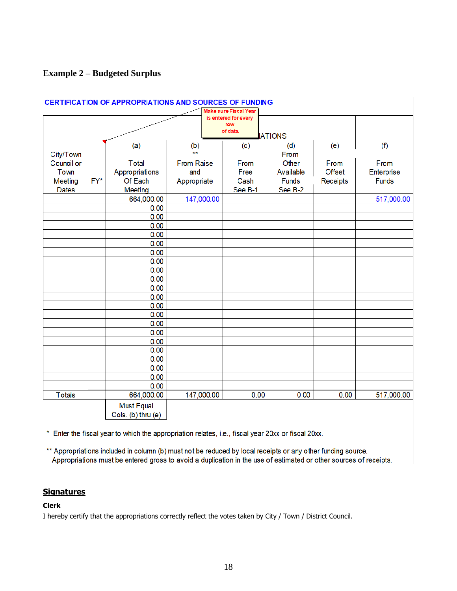#### **Example 2 – Budgeted Surplus**

|                |        |                        |                   | <b>Make sure Fiscal Year</b> |               |               |              |
|----------------|--------|------------------------|-------------------|------------------------------|---------------|---------------|--------------|
|                |        |                        |                   | is entered for every<br>row  |               |               |              |
|                |        |                        |                   | of data.                     | <b>ATIONS</b> |               |              |
|                |        | (a)                    |                   | (c)                          | (d)           |               |              |
| City/Town      |        |                        | (b)<br>**         |                              | From          | (e)           | (f)          |
| Council or     |        | <b>Total</b>           | <b>From Raise</b> | From                         | Other         | From          | From         |
| <b>Town</b>    |        | Appropriations         | and               | Free                         | Available     | <b>Offset</b> | Enterprise   |
| <b>Meeting</b> | $FY^*$ | Of Each                | Appropriate       | Cash                         | <b>Funds</b>  | Receipts      | <b>Funds</b> |
| <b>Dates</b>   |        | <b>Meeting</b>         |                   | See B-1                      | See B-2       |               |              |
|                |        | 664,000.00             | 147,000.00        |                              |               |               | 517,000.00   |
|                |        | 0.00                   |                   |                              |               |               |              |
|                |        | 0.00                   |                   |                              |               |               |              |
|                |        | 0.00                   |                   |                              |               |               |              |
|                |        | 0.00                   |                   |                              |               |               |              |
|                |        | 0.00                   |                   |                              |               |               |              |
|                |        | 0.00                   |                   |                              |               |               |              |
|                |        | 0.00                   |                   |                              |               |               |              |
|                |        | 0.00                   |                   |                              |               |               |              |
|                |        | 0.00                   |                   |                              |               |               |              |
|                |        | 0.00                   |                   |                              |               |               |              |
|                |        | 0.00                   |                   |                              |               |               |              |
|                |        | 0.00                   |                   |                              |               |               |              |
|                |        | 0.00                   |                   |                              |               |               |              |
|                |        | 0.00                   |                   |                              |               |               |              |
|                |        | 0.00                   |                   |                              |               |               |              |
|                |        | 0.00                   |                   |                              |               |               |              |
|                |        | 0.00                   |                   |                              |               |               |              |
|                |        | 0.00                   |                   |                              |               |               |              |
|                |        | 0.00                   |                   |                              |               |               |              |
|                |        | 0.00                   |                   |                              |               |               |              |
|                |        | 0.00                   |                   |                              |               |               |              |
| <b>Totals</b>  |        | 664,000.00             | 147,000.00        | 0.00                         | 0.00          | 0.00          | 517,000.00   |
|                |        | <b>Must Equal</b>      |                   |                              |               |               |              |
|                |        | Cols. $(b)$ thru $(e)$ |                   |                              |               |               |              |

#### **CERTIFICATION OF APPROPRIATIONS AND SOURCES OF FUNDING**

\* Enter the fiscal year to which the appropriation relates, i.e., fiscal year 20xx or fiscal 20xx.

\*\* Appropriations included in column (b) must not be reduced by local receipts or any other funding source. Appropriations must be entered gross to avoid a duplication in the use of estimated or other sources of receipts.

#### **Signatures**

#### **Clerk**

I hereby certify that the appropriations correctly reflect the votes taken by City / Town / District Council.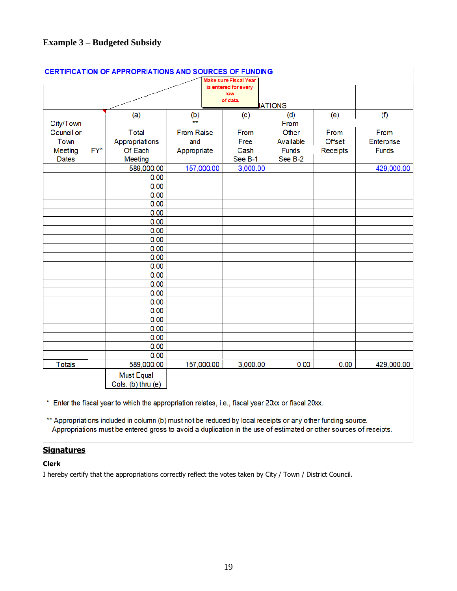### **Example 3 – Budgeted Subsidy**

|                         |     |                    |                     | Make sure Fiscal Year       |               |               |              |
|-------------------------|-----|--------------------|---------------------|-----------------------------|---------------|---------------|--------------|
|                         |     |                    |                     | is entered for every<br>row |               |               |              |
|                         |     |                    |                     | of data.                    |               |               |              |
|                         |     |                    |                     |                             | <b>ATIONS</b> |               |              |
|                         |     | (a)                | (b)<br>$\star\star$ | (c)                         | (d)<br>From   | (e)           | (f)          |
| City/Town<br>Council or |     |                    |                     |                             | Other         |               |              |
|                         |     | <b>Total</b>       | <b>From Raise</b>   | From                        |               | From          | From         |
| <b>Town</b>             |     | Appropriations     | and                 | Free                        | Available     | <b>Offset</b> | Enterprise   |
| Meeting                 | FY* | Of Each            | Appropriate         | Cash                        | <b>Funds</b>  | Receipts      | <b>Funds</b> |
| <b>Dates</b>            |     | Meeting            |                     | See B-1                     | See B-2       |               |              |
|                         |     | 589,000.00         | 157,000.00          | 3,000.00                    |               |               | 429,000.00   |
|                         |     | 0.00               |                     |                             |               |               |              |
|                         |     | 0.00               |                     |                             |               |               |              |
|                         |     | 0.00               |                     |                             |               |               |              |
|                         |     | 0.00               |                     |                             |               |               |              |
|                         |     | 0.00               |                     |                             |               |               |              |
|                         |     | 0.00               |                     |                             |               |               |              |
|                         |     | 0.00               |                     |                             |               |               |              |
|                         |     | 0.00               |                     |                             |               |               |              |
|                         |     | 0.00               |                     |                             |               |               |              |
|                         |     | 0.00               |                     |                             |               |               |              |
|                         |     | 0.00               |                     |                             |               |               |              |
|                         |     | 0.00               |                     |                             |               |               |              |
|                         |     | 0.00               |                     |                             |               |               |              |
|                         |     | 0.00               |                     |                             |               |               |              |
|                         |     | 0.00               |                     |                             |               |               |              |
|                         |     | 0.00               |                     |                             |               |               |              |
|                         |     | 0.00               |                     |                             |               |               |              |
|                         |     | 0.00               |                     |                             |               |               |              |
|                         |     | 0.00               |                     |                             |               |               |              |
|                         |     | 0.00               |                     |                             |               |               |              |
|                         |     | 0.00               |                     |                             |               |               |              |
| <b>Totals</b>           |     | 589,000.00         | 157,000.00          | 3,000.00                    | 0.00          | 0.00          | 429,000.00   |
|                         |     | Must Equal         |                     |                             |               |               |              |
|                         |     | Cols. (b) thru (e) |                     |                             |               |               |              |

#### **CERTIFICATION OF APPROPRIATIONS AND SOURCES OF FUNDING**

\* Enter the fiscal year to which the appropriation relates, i.e., fiscal year 20xx or fiscal 20xx.

\*\* Appropriations included in column (b) must not be reduced by local receipts or any other funding source. Appropriations must be entered gross to avoid a duplication in the use of estimated or other sources of receipts.

#### **Signatures**

#### **Clerk**

I hereby certify that the appropriations correctly reflect the votes taken by City / Town / District Council.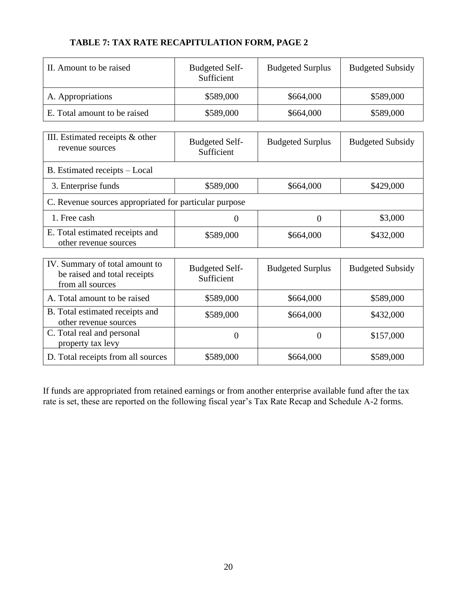### **TABLE 7: TAX RATE RECAPITULATION FORM, PAGE 2**

| II. Amount to be raised                                                            | <b>Budgeted Self-</b><br>Sufficient | <b>Budgeted Surplus</b> | <b>Budgeted Subsidy</b> |  |
|------------------------------------------------------------------------------------|-------------------------------------|-------------------------|-------------------------|--|
| A. Appropriations                                                                  | \$589,000                           | \$664,000               | \$589,000               |  |
| E. Total amount to be raised                                                       | \$589,000                           | \$664,000               | \$589,000               |  |
|                                                                                    |                                     |                         |                         |  |
| III. Estimated receipts & other<br>revenue sources                                 | <b>Budgeted Self-</b><br>Sufficient | <b>Budgeted Surplus</b> | <b>Budgeted Subsidy</b> |  |
| B. Estimated receipts - Local                                                      |                                     |                         |                         |  |
| 3. Enterprise funds                                                                | \$589,000                           | \$664,000               | \$429,000               |  |
| C. Revenue sources appropriated for particular purpose                             |                                     |                         |                         |  |
| 1. Free cash                                                                       | $\theta$                            | $\overline{0}$          | \$3,000                 |  |
| E. Total estimated receipts and<br>other revenue sources                           | \$589,000                           | \$664,000               | \$432,000               |  |
|                                                                                    |                                     |                         |                         |  |
| IV. Summary of total amount to<br>be raised and total receipts<br>from all sources | <b>Budgeted Self-</b><br>Sufficient | <b>Budgeted Surplus</b> | <b>Budgeted Subsidy</b> |  |
| A. Total amount to be raised                                                       | \$589,000                           | \$664,000               | \$589,000               |  |
| B. Total estimated receipts and<br>other revenue sources                           | \$589,000                           | \$664,000               | \$432,000               |  |
| C. Total real and personal<br>property tax levy                                    | $\theta$                            | $\overline{0}$          | \$157,000               |  |
| D. Total receipts from all sources                                                 | \$589,000                           | \$664,000               | \$589,000               |  |

If funds are appropriated from retained earnings or from another enterprise available fund after the tax rate is set, these are reported on the following fiscal year's Tax Rate Recap and Schedule A-2 forms.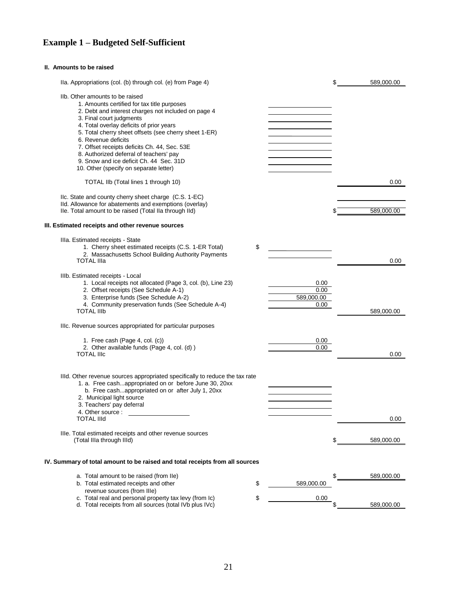### **Example 1 – Budgeted Self-Sufficient**

#### **II. Amounts to be raised**

| Ila. Appropriations (col. (b) through col. (e) from Page 4)                  |                  | \$<br>589,000.00 |
|------------------------------------------------------------------------------|------------------|------------------|
| Ilb. Other amounts to be raised                                              |                  |                  |
| 1. Amounts certified for tax title purposes                                  |                  |                  |
| 2. Debt and interest charges not included on page 4                          |                  |                  |
| 3. Final court judgments                                                     |                  |                  |
| 4. Total overlay deficits of prior years                                     |                  |                  |
| 5. Total cherry sheet offsets (see cherry sheet 1-ER)                        |                  |                  |
| 6. Revenue deficits                                                          |                  |                  |
| 7. Offset receipts deficits Ch. 44, Sec. 53E                                 |                  |                  |
| 8. Authorized deferral of teachers' pay                                      |                  |                  |
| 9. Snow and ice deficit Ch. 44 Sec. 31D                                      |                  |                  |
| 10. Other (specify on separate letter)                                       |                  |                  |
| TOTAL IIb (Total lines 1 through 10)                                         |                  | 0.00             |
|                                                                              |                  |                  |
| IIc. State and county cherry sheet charge (C.S. 1-EC)                        |                  |                  |
| Ild. Allowance for abatements and exemptions (overlay)                       |                  |                  |
| Ile. Total amount to be raised (Total Ila through Ild)                       |                  | 589,000.00       |
| III. Estimated receipts and other revenue sources                            |                  |                  |
| Illa. Estimated receipts - State                                             |                  |                  |
| 1. Cherry sheet estimated receipts (C.S. 1-ER Total)                         | \$               |                  |
| 2. Massachusetts School Building Authority Payments                          |                  |                  |
| <b>TOTAL IIIa</b>                                                            |                  | 0.00             |
| IIIb. Estimated receipts - Local                                             |                  |                  |
| 1. Local receipts not allocated (Page 3, col. (b), Line 23)                  | 0.00             |                  |
| 2. Offset receipts (See Schedule A-1)                                        | 0.00             |                  |
| 3. Enterprise funds (See Schedule A-2)                                       | 589,000.00       |                  |
| 4. Community preservation funds (See Schedule A-4)                           | 0.00             |                  |
| <b>TOTAL IIIb</b>                                                            |                  | 589,000.00       |
| IIIc. Revenue sources appropriated for particular purposes                   |                  |                  |
| 1. Free cash (Page 4, col. (c))                                              | 0.00             |                  |
| 2. Other available funds (Page 4, col. (d))                                  | 0.00             |                  |
| <b>TOTAL IIIc</b>                                                            |                  | 0.00             |
|                                                                              |                  |                  |
| IIId. Other revenue sources appropriated specifically to reduce the tax rate |                  |                  |
| 1. a. Free cashappropriated on or before June 30, 20xx                       |                  |                  |
| b. Free cashappropriated on or after July 1, 20xx                            |                  |                  |
| 2. Municipal light source                                                    |                  |                  |
| 3. Teachers' pay deferral                                                    |                  |                  |
| 4. Other source :                                                            |                  |                  |
| <b>TOTAL IIId</b>                                                            |                  | 0.00             |
| Ille. Total estimated receipts and other revenue sources                     |                  |                  |
| (Total IIIa through IIId)                                                    |                  | \$<br>589,000.00 |
|                                                                              |                  |                  |
| IV. Summary of total amount to be raised and total receipts from all sources |                  |                  |
| a. Total amount to be raised (from Ile)                                      |                  | \$<br>589,000.00 |
| b. Total estimated receipts and other                                        | \$<br>589,000.00 |                  |
| revenue sources (from IIIe)                                                  |                  |                  |
| c. Total real and personal property tax levy (from Ic)                       | \$<br>0.00       |                  |
| d. Total receipts from all sources (total IVb plus IVc)                      |                  | 589,000.00       |
|                                                                              |                  |                  |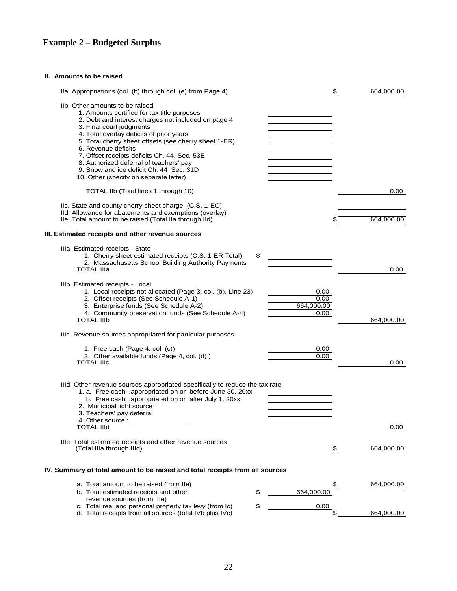## **Example 2 – Budgeted Surplus**

#### **II. Amounts to be raised**

| Ila. Appropriations (col. (b) through col. (e) from Page 4)                                                                           |                    | \$ | 664,000.00 |
|---------------------------------------------------------------------------------------------------------------------------------------|--------------------|----|------------|
| Ilb. Other amounts to be raised<br>1. Amounts certified for tax title purposes<br>2. Debt and interest charges not included on page 4 |                    |    |            |
| 3. Final court judgments                                                                                                              |                    |    |            |
| 4. Total overlay deficits of prior years                                                                                              |                    |    |            |
| 5. Total cherry sheet offsets (see cherry sheet 1-ER)<br>6. Revenue deficits                                                          |                    |    |            |
| 7. Offset receipts deficits Ch. 44, Sec. 53E                                                                                          |                    |    |            |
| 8. Authorized deferral of teachers' pay                                                                                               |                    |    |            |
| 9. Snow and ice deficit Ch. 44 Sec. 31D                                                                                               |                    |    |            |
| 10. Other (specify on separate letter)                                                                                                |                    |    |            |
| TOTAL IIb (Total lines 1 through 10)                                                                                                  |                    |    | 0.00       |
| IIc. State and county cherry sheet charge (C.S. 1-EC)                                                                                 |                    |    |            |
| IId. Allowance for abatements and exemptions (overlay)                                                                                |                    |    |            |
| Ile. Total amount to be raised (Total IIa through IId)                                                                                |                    |    | 664,000.00 |
| III. Estimated receipts and other revenue sources                                                                                     |                    |    |            |
| IIIa. Estimated receipts - State                                                                                                      |                    |    |            |
| 1. Cherry sheet estimated receipts (C.S. 1-ER Total)                                                                                  | \$                 |    |            |
| 2. Massachusetts School Building Authority Payments                                                                                   |                    |    |            |
| <b>TOTAL IIIa</b>                                                                                                                     |                    |    | 0.00       |
| IIIb. Estimated receipts - Local                                                                                                      |                    |    |            |
| 1. Local receipts not allocated (Page 3, col. (b), Line 23)                                                                           | 0.00               |    |            |
| 2. Offset receipts (See Schedule A-1)                                                                                                 | 0.00               |    |            |
| 3. Enterprise funds (See Schedule A-2)<br>4. Community preservation funds (See Schedule A-4)                                          | 664,000.00<br>0.00 |    |            |
| <b>TOTAL IIIb</b>                                                                                                                     |                    |    | 664,000.00 |
| IIIc. Revenue sources appropriated for particular purposes                                                                            |                    |    |            |
|                                                                                                                                       |                    |    |            |
| 1. Free cash (Page 4, col. (c))<br>2. Other available funds (Page 4, col. (d))                                                        | 0.00<br>0.00       |    |            |
| <b>TOTAL IIIc</b>                                                                                                                     |                    |    | 0.00       |
|                                                                                                                                       |                    |    |            |
| IIId. Other revenue sources appropriated specifically to reduce the tax rate                                                          |                    |    |            |
| 1. a. Free cashappropriated on or before June 30, 20xx                                                                                |                    |    |            |
| b. Free cashappropriated on or after July 1, 20xx                                                                                     |                    |    |            |
| 2. Municipal light source<br>3. Teachers' pay deferral                                                                                |                    |    |            |
| 4. Other source :                                                                                                                     |                    |    |            |
| <b>TOTAL IIId</b>                                                                                                                     |                    |    | 0.00       |
|                                                                                                                                       |                    |    |            |
| Ille. Total estimated receipts and other revenue sources<br>(Total IIIa through IIId)                                                 |                    | S  | 664,000.00 |
|                                                                                                                                       |                    |    |            |
| IV. Summary of total amount to be raised and total receipts from all sources                                                          |                    |    |            |
| a. Total amount to be raised (from Ile)                                                                                               |                    | \$ | 664,000.00 |
| b. Total estimated receipts and other                                                                                                 | \$<br>664,000.00   |    |            |
| revenue sources (from IIIe)                                                                                                           |                    |    |            |
| c. Total real and personal property tax levy (from Ic)                                                                                | \$<br>0.00         |    |            |
| d. Total receipts from all sources (total IVb plus IVc)                                                                               |                    |    | 664,000.00 |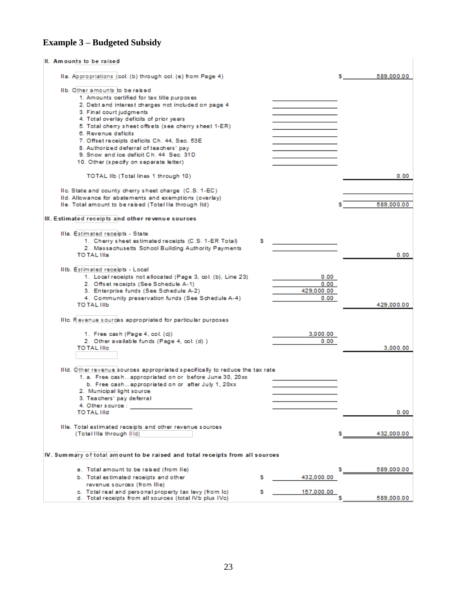#### **Example 3 – Budgeted Subsidy**

#### II. Amounts to be raised IIa. Appropriations (col. (b) through col. (e) from Page 4) s. 589,000.00 IIb. Other amounts to be raised 1. Amounts certified for tax title purposes 2. Debt and interest charges not included on page 4 3. Final court judgments 4. Total overlay deficits of prior years 5. Total cherry sheet offsets (see cherry sheet 1-ER) 6. Revenue deficits 7. Offset receipts deficits Ch. 44, Sec. 53E 8. Authorized deferral of teachers' pay 9. Snow and ice deficit Ch. 44 Sec. 31D 10. Other (specify on separate letter) TOTAL IIb (Total lines 1 through 10)  $0.00$ IIc. State and county cherry sheet charge (C.S. 1-EC) IId. Allowance for abatements and exemptions (overlay) Ile. Total amount to be raised (Total IIa through IId) 589,000.00 III. Estimated receipts and other revenue sources Illa. Estimated receipts - State 1. Cherry sheet estimated receipts (C.S. 1-ER Total) s 2. Massachusetts School Building Authority Payments TO TAL IIIa  $0.00$ IIIb. Estimated receipts - Local 1. Local receipts not allocated (Page 3, col. (b), Line 23)  $0.00$ 2. Offset receipts (See Schedule A-1)  $0.00$ 429,000.00 3. Enterprise funds (See Schedule A-2) 4. Community preservation funds (See Schedule A-4)  $0.00$ 429,000.00 TO TAL IIIb IIIc. Revenue sources appropriated for particular purposes 3,000.00 1. Free cash (Page 4, col. (c)) 2. Other available funds (Page 4, col. (d) )  $0.00$ TO TAL IIIc 3,000.00 IIId. Other revenue sources appropriated specifically to reduce the tax rate 1. a. Free cash... appropriated on or before June 30, 20xx b. Free cash...appropriated on or after July 1, 20xx 2. Municipal light source 3. Teachers' pay deferral 4. Other source : **TO TAL IIId**  $0.00$ Ille. Total estimated receipts and other revenue sources (Total IIIa through IIId) s 432,000.00 IV. Summary of total amount to be raised and total receipts from all sources a. Total amount to be raised (from IIe) 589,000.00 s 432,000.00 b. Total estimated receipts and other s revenue sources (from IIIe) c. Total real and personal property tax levy (from Ic) s 157,000.00 k 589,000.00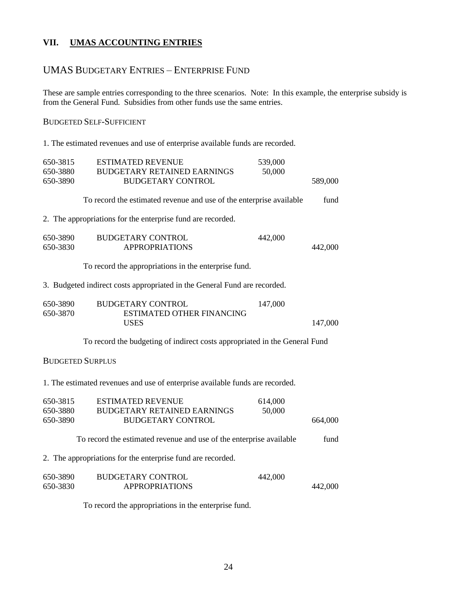#### **VII. UMAS ACCOUNTING ENTRIES**

#### UMAS BUDGETARY ENTRIES – ENTERPRISE FUND

These are sample entries corresponding to the three scenarios. Note: In this example, the enterprise subsidy is from the General Fund. Subsidies from other funds use the same entries.

#### BUDGETED SELF-SUFFICIENT

1. The estimated revenues and use of enterprise available funds are recorded.

| 650-3815                | <b>ESTIMATED REVENUE</b>                                                      | 539,000 |         |  |  |
|-------------------------|-------------------------------------------------------------------------------|---------|---------|--|--|
| 650-3880<br>650-3890    | <b>BUDGETARY RETAINED EARNINGS</b><br><b>BUDGETARY CONTROL</b>                | 50,000  | 589,000 |  |  |
|                         | To record the estimated revenue and use of the enterprise available           |         | fund    |  |  |
|                         | 2. The appropriations for the enterprise fund are recorded.                   |         |         |  |  |
| 650-3890<br>650-3830    | <b>BUDGETARY CONTROL</b><br><b>APPROPRIATIONS</b>                             | 442,000 | 442,000 |  |  |
|                         | To record the appropriations in the enterprise fund.                          |         |         |  |  |
|                         | 3. Budgeted indirect costs appropriated in the General Fund are recorded.     |         |         |  |  |
| 650-3890                | <b>BUDGETARY CONTROL</b>                                                      | 147,000 |         |  |  |
| 650-3870                | <b>ESTIMATED OTHER FINANCING</b><br><b>USES</b>                               |         | 147,000 |  |  |
|                         | To record the budgeting of indirect costs appropriated in the General Fund    |         |         |  |  |
| <b>BUDGETED SURPLUS</b> |                                                                               |         |         |  |  |
|                         | 1. The estimated revenues and use of enterprise available funds are recorded. |         |         |  |  |
| 650-3815                | <b>ESTIMATED REVENUE</b>                                                      | 614,000 |         |  |  |
| 650-3880<br>650-3890    | <b>BUDGETARY RETAINED EARNINGS</b><br><b>BUDGETARY CONTROL</b>                | 50,000  | 664,000 |  |  |
|                         | To record the estimated revenue and use of the enterprise available           |         | fund    |  |  |
|                         | 2. The appropriations for the enterprise fund are recorded.                   |         |         |  |  |
| 650-3890<br>650-3830    | <b>BUDGETARY CONTROL</b><br><b>APPROPRIATIONS</b>                             | 442,000 | 442,000 |  |  |
|                         |                                                                               |         |         |  |  |

To record the appropriations in the enterprise fund.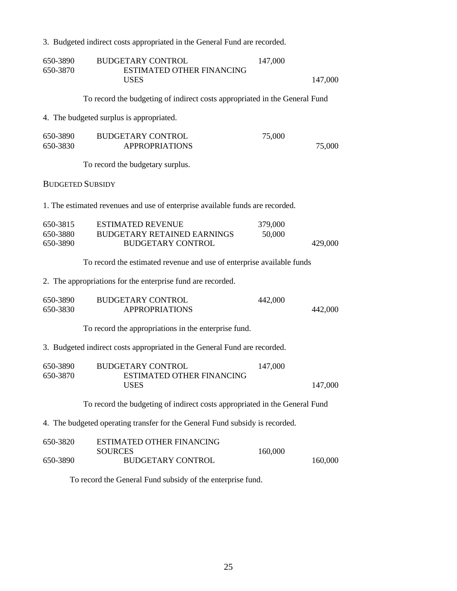### 3. Budgeted indirect costs appropriated in the General Fund are recorded.

| 650-3890<br>650-3870                                                         | <b>BUDGETARY CONTROL</b><br><b>ESTIMATED OTHER FINANCING</b><br><b>USES</b>                | 147,000           | 147,000 |  |
|------------------------------------------------------------------------------|--------------------------------------------------------------------------------------------|-------------------|---------|--|
|                                                                              |                                                                                            |                   |         |  |
|                                                                              | To record the budgeting of indirect costs appropriated in the General Fund                 |                   |         |  |
|                                                                              | 4. The budgeted surplus is appropriated.                                                   |                   |         |  |
| 650-3890<br>650-3830                                                         | <b>BUDGETARY CONTROL</b><br><b>APPROPRIATIONS</b>                                          | 75,000            | 75,000  |  |
|                                                                              | To record the budgetary surplus.                                                           |                   |         |  |
| <b>BUDGETED SUBSIDY</b>                                                      |                                                                                            |                   |         |  |
|                                                                              | 1. The estimated revenues and use of enterprise available funds are recorded.              |                   |         |  |
| 650-3815<br>650-3880<br>650-3890                                             | <b>ESTIMATED REVENUE</b><br><b>BUDGETARY RETAINED EARNINGS</b><br><b>BUDGETARY CONTROL</b> | 379,000<br>50,000 | 429,000 |  |
|                                                                              | To record the estimated revenue and use of enterprise available funds                      |                   |         |  |
|                                                                              | 2. The appropriations for the enterprise fund are recorded.                                |                   |         |  |
| 650-3890<br>650-3830                                                         | <b>BUDGETARY CONTROL</b><br><b>APPROPRIATIONS</b>                                          | 442,000           | 442,000 |  |
|                                                                              | To record the appropriations in the enterprise fund.                                       |                   |         |  |
|                                                                              | 3. Budgeted indirect costs appropriated in the General Fund are recorded.                  |                   |         |  |
| 650-3890<br>650-3870                                                         | <b>BUDGETARY CONTROL</b><br><b>ESTIMATED OTHER FINANCING</b><br><b>USES</b>                | 147,000           | 147,000 |  |
|                                                                              | To record the budgeting of indirect costs appropriated in the General Fund                 |                   |         |  |
| 4. The budgeted operating transfer for the General Fund subsidy is recorded. |                                                                                            |                   |         |  |
| 650-3820                                                                     | <b>ESTIMATED OTHER FINANCING</b><br><b>SOURCES</b>                                         | 160,000           |         |  |
| 650-3890                                                                     | <b>BUDGETARY CONTROL</b>                                                                   |                   | 160,000 |  |
|                                                                              | To record the General Fund subsidy of the enterprise fund.                                 |                   |         |  |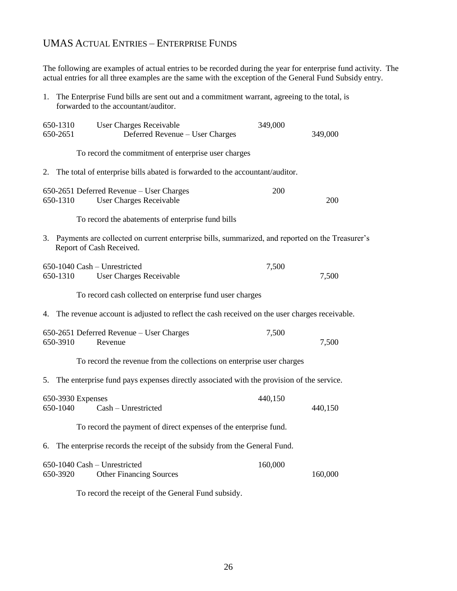### UMAS ACTUAL ENTRIES – ENTERPRISE FUNDS

The following are examples of actual entries to be recorded during the year for enterprise fund activity. The actual entries for all three examples are the same with the exception of the General Fund Subsidy entry.

1. The Enterprise Fund bills are sent out and a commitment warrant, agreeing to the total, is forwarded to the accountant/auditor.

| 650-1310<br>650-2651          | <b>User Charges Receivable</b><br>Deferred Revenue - User Charges                                                              | 349,000 | 349,000 |
|-------------------------------|--------------------------------------------------------------------------------------------------------------------------------|---------|---------|
|                               | To record the commitment of enterprise user charges                                                                            |         |         |
| 2.                            | The total of enterprise bills abated is forwarded to the accountant/auditor.                                                   |         |         |
| 650-1310                      | 650-2651 Deferred Revenue – User Charges<br><b>User Charges Receivable</b>                                                     | 200     | 200     |
|                               | To record the abatements of enterprise fund bills                                                                              |         |         |
|                               | 3. Payments are collected on current enterprise bills, summarized, and reported on the Treasurer's<br>Report of Cash Received. |         |         |
| 650-1310                      | 650-1040 Cash - Unrestricted<br>User Charges Receivable                                                                        | 7,500   | 7,500   |
|                               | To record cash collected on enterprise fund user charges                                                                       |         |         |
| 4.                            | The revenue account is adjusted to reflect the cash received on the user charges receivable.                                   |         |         |
| 650-3910                      | 650-2651 Deferred Revenue – User Charges<br>Revenue                                                                            | 7,500   | 7,500   |
|                               | To record the revenue from the collections on enterprise user charges                                                          |         |         |
| 5.                            | The enterprise fund pays expenses directly associated with the provision of the service.                                       |         |         |
| 650-3930 Expenses<br>650-1040 | Cash - Unrestricted                                                                                                            | 440,150 | 440,150 |
|                               | To record the payment of direct expenses of the enterprise fund.                                                               |         |         |
| 6.                            | The enterprise records the receipt of the subsidy from the General Fund.                                                       |         |         |
| 650-3920                      | 650-1040 Cash - Unrestricted<br><b>Other Financing Sources</b>                                                                 | 160,000 | 160,000 |
|                               | To record the receipt of the General Fund subsidy.                                                                             |         |         |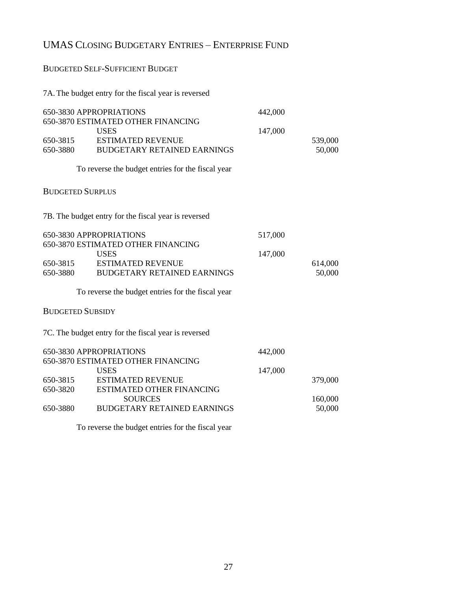### UMAS CLOSING BUDGETARY ENTRIES – ENTERPRISE FUND

### BUDGETED SELF-SUFFICIENT BUDGET

### 7A. The budget entry for the fiscal year is reversed

| 650-3815<br>650-3880    | 650-3830 APPROPRIATIONS<br>650-3870 ESTIMATED OTHER FINANCING<br><b>USES</b><br><b>ESTIMATED REVENUE</b><br><b>BUDGETARY RETAINED EARNINGS</b> | 442,000<br>147,000 | 539,000<br>50,000 |
|-------------------------|------------------------------------------------------------------------------------------------------------------------------------------------|--------------------|-------------------|
|                         | To reverse the budget entries for the fiscal year                                                                                              |                    |                   |
| <b>BUDGETED SURPLUS</b> |                                                                                                                                                |                    |                   |
|                         | 7B. The budget entry for the fiscal year is reversed                                                                                           |                    |                   |
|                         | 650-3830 APPROPRIATIONS                                                                                                                        | 517,000            |                   |
|                         | 650-3870 ESTIMATED OTHER FINANCING<br><b>USES</b>                                                                                              | 147,000            |                   |
| 650-3815                | <b>ESTIMATED REVENUE</b>                                                                                                                       |                    | 614,000           |
| 650-3880                | <b>BUDGETARY RETAINED EARNINGS</b>                                                                                                             |                    | 50,000            |
|                         | To reverse the budget entries for the fiscal year                                                                                              |                    |                   |
| <b>BUDGETED SUBSIDY</b> |                                                                                                                                                |                    |                   |
|                         | 7C. The budget entry for the fiscal year is reversed                                                                                           |                    |                   |
|                         | 650-3830 APPROPRIATIONS                                                                                                                        | 442,000            |                   |
|                         | 650-3870 ESTIMATED OTHER FINANCING<br><b>USES</b>                                                                                              |                    |                   |
| 650-3815                | <b>ESTIMATED REVENUE</b>                                                                                                                       | 147,000            | 379,000           |
| 650-3820                | ESTIMATED OTHER FINANCING                                                                                                                      |                    |                   |
| 650-3880                | <b>SOURCES</b><br><b>BUDGETARY RETAINED EARNINGS</b>                                                                                           |                    | 160,000<br>50,000 |
|                         |                                                                                                                                                |                    |                   |

To reverse the budget entries for the fiscal year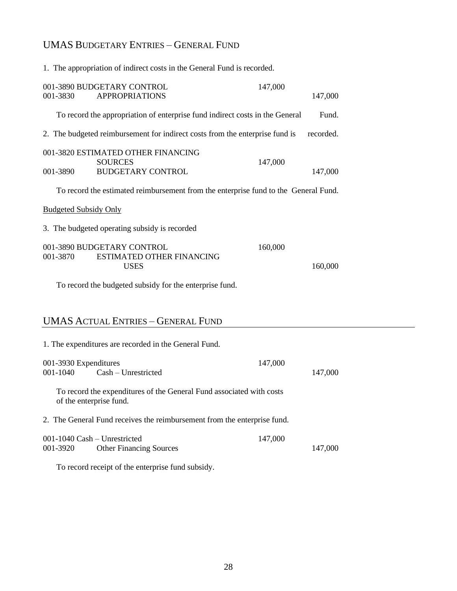### UMAS BUDGETARY ENTRIES – GENERAL FUND

|                                          | 1. The appropriation of indirect costs in the General Fund is recorded.             |         |           |  |
|------------------------------------------|-------------------------------------------------------------------------------------|---------|-----------|--|
| 001-3830                                 | 001-3890 BUDGETARY CONTROL<br><b>APPROPRIATIONS</b>                                 | 147,000 | 147,000   |  |
|                                          | To record the appropriation of enterprise fund indirect costs in the General        |         | Fund.     |  |
|                                          | 2. The budgeted reimbursement for indirect costs from the enterprise fund is        |         | recorded. |  |
| 001-3890                                 | 001-3820 ESTIMATED OTHER FINANCING<br><b>SOURCES</b><br><b>BUDGETARY CONTROL</b>    | 147,000 | 147,000   |  |
|                                          | To record the estimated reimbursement from the enterprise fund to the General Fund. |         |           |  |
| <b>Budgeted Subsidy Only</b>             |                                                                                     |         |           |  |
|                                          | 3. The budgeted operating subsidy is recorded                                       |         |           |  |
| 001-3870                                 | 001-3890 BUDGETARY CONTROL<br><b>ESTIMATED OTHER FINANCING</b><br><b>USES</b>       | 160,000 | 160,000   |  |
|                                          | To record the budgeted subsidy for the enterprise fund.                             |         |           |  |
|                                          | <b>UMAS ACTUAL ENTRIES - GENERAL FUND</b>                                           |         |           |  |
|                                          | 1. The expenditures are recorded in the General Fund.                               |         |           |  |
| 001-3930 Expenditures<br>001-1040        | Cash - Unrestricted                                                                 | 147,000 | 147,000   |  |
| of the enterprise fund.                  | To record the expenditures of the General Fund associated with costs                |         |           |  |
|                                          | 2. The General Fund receives the reimbursement from the enterprise fund.            |         |           |  |
| 001-1040 Cash - Unrestricted<br>001-3920 | <b>Other Financing Sources</b>                                                      | 147,000 | 147,000   |  |
|                                          | To record receipt of the enterprise fund subsidy.                                   |         |           |  |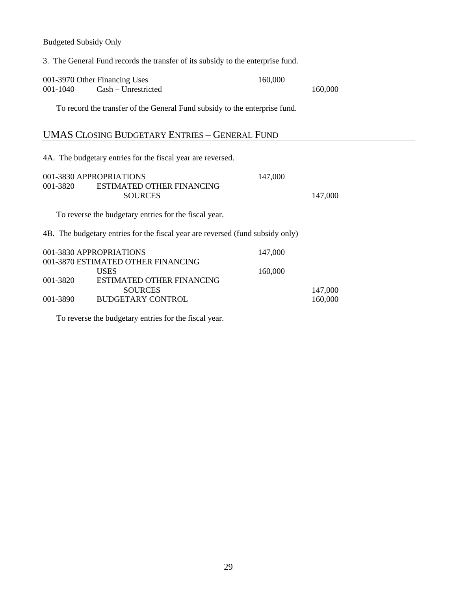Budgeted Subsidy Only

001-3970 Other Financing Uses 160,000 001-1040 Cash – Unrestricted 160,000 To record the transfer of the General Fund subsidy to the enterprise fund. UMAS CLOSING BUDGETARY ENTRIES – GENERAL FUND 4A. The budgetary entries for the fiscal year are reversed. 001-3830 APPROPRIATIONS 147,000 001-3820 ESTIMATED OTHER FINANCING SOURCES 147,000 To reverse the budgetary entries for the fiscal year. 4B. The budgetary entries for the fiscal year are reversed (fund subsidy only) 001-3830 APPROPRIATIONS 147,000 001-3870 ESTIMATED OTHER FINANCING USES 160,000 001-3820 ESTIMATED OTHER FINANCING SOURCES 147,000 001-3890 BUDGETARY CONTROL 160,000

3. The General Fund records the transfer of its subsidy to the enterprise fund.

To reverse the budgetary entries for the fiscal year.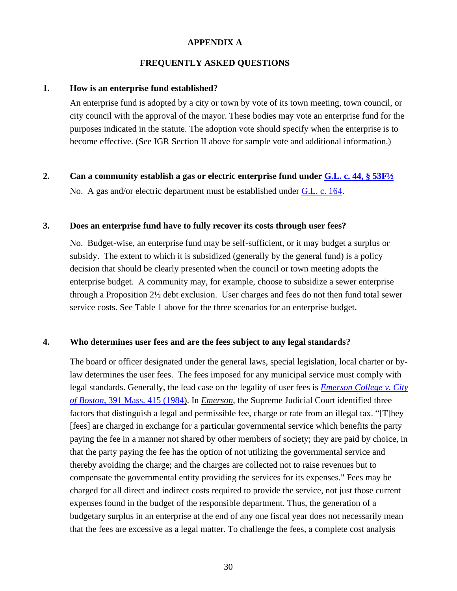#### **APPENDIX A**

#### **FREQUENTLY ASKED QUESTIONS**

#### **1. How is an enterprise fund established?**

An enterprise fund is adopted by a city or town by vote of its town meeting, town council, or city council with the approval of the mayor. These bodies may vote an enterprise fund for the purposes indicated in the statute. The adoption vote should specify when the enterprise is to become effective. (See IGR Section II above for sample vote and additional information.)

**2. Can a community establish a gas or electric enterprise fund under [G.L. c. 44, § 53F½](https://malegislature.gov/Laws/GeneralLaws/PartI/TitleVII/Chapter44/Section53F1~2)**

No. A gas and/or electric department must be established under [G.L. c. 164.](https://malegislature.gov/Laws/GeneralLaws/PartI/TitleXXII/Chapter164)

#### **3. Does an enterprise fund have to fully recover its costs through user fees?**

No. Budget-wise, an enterprise fund may be self-sufficient, or it may budget a surplus or subsidy. The extent to which it is subsidized (generally by the general fund) is a policy decision that should be clearly presented when the council or town meeting adopts the enterprise budget. A community may, for example, choose to subsidize a sewer enterprise through a Proposition 2½ debt exclusion. User charges and fees do not then fund total sewer service costs. See Table 1 above for the three scenarios for an enterprise budget.

#### **4. Who determines user fees and are the fees subject to any legal standards?**

The board or officer designated under the general laws, special legislation, local charter or bylaw determines the user fees. The fees imposed for any municipal service must comply with legal standards. Generally, the lead case on the legality of user fees is *[Emerson College v. City](http://masscases.com/cases/sjc/391/391mass415.html)  of Boston,* [391 Mass. 415 \(1984\)](http://masscases.com/cases/sjc/391/391mass415.html). In *Emerson*, the Supreme Judicial Court identified three factors that distinguish a legal and permissible fee, charge or rate from an illegal tax. "[T]hey [fees] are charged in exchange for a particular governmental service which benefits the party paying the fee in a manner not shared by other members of society; they are paid by choice, in that the party paying the fee has the option of not utilizing the governmental service and thereby avoiding the charge; and the charges are collected not to raise revenues but to compensate the governmental entity providing the services for its expenses." Fees may be charged for all direct and indirect costs required to provide the service, not just those current expenses found in the budget of the responsible department. Thus, the generation of a budgetary surplus in an enterprise at the end of any one fiscal year does not necessarily mean that the fees are excessive as a legal matter. To challenge the fees, a complete cost analysis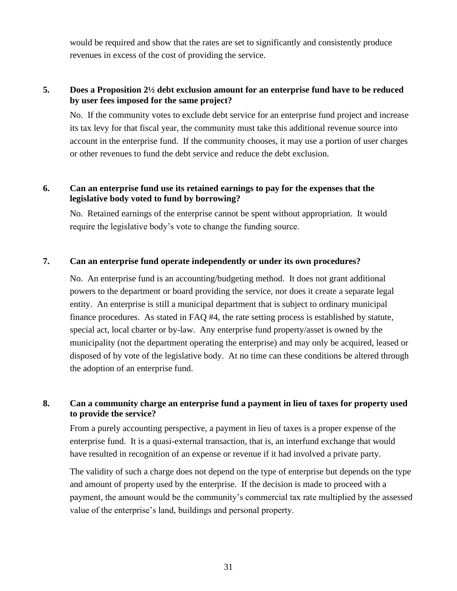would be required and show that the rates are set to significantly and consistently produce revenues in excess of the cost of providing the service.

#### **5. Does a Proposition 2½ debt exclusion amount for an enterprise fund have to be reduced by user fees imposed for the same project?**

No. If the community votes to exclude debt service for an enterprise fund project and increase its tax levy for that fiscal year, the community must take this additional revenue source into account in the enterprise fund. If the community chooses, it may use a portion of user charges or other revenues to fund the debt service and reduce the debt exclusion.

#### **6. Can an enterprise fund use its retained earnings to pay for the expenses that the legislative body voted to fund by borrowing?**

No. Retained earnings of the enterprise cannot be spent without appropriation. It would require the legislative body's vote to change the funding source.

#### **7. Can an enterprise fund operate independently or under its own procedures?**

No. An enterprise fund is an accounting/budgeting method. It does not grant additional powers to the department or board providing the service, nor does it create a separate legal entity. An enterprise is still a municipal department that is subject to ordinary municipal finance procedures. As stated in FAQ #4, the rate setting process is established by statute, special act, local charter or by-law. Any enterprise fund property/asset is owned by the municipality (not the department operating the enterprise) and may only be acquired, leased or disposed of by vote of the legislative body. At no time can these conditions be altered through the adoption of an enterprise fund.

#### **8. Can a community charge an enterprise fund a payment in lieu of taxes for property used to provide the service?**

From a purely accounting perspective, a payment in lieu of taxes is a proper expense of the enterprise fund. It is a quasi-external transaction, that is, an interfund exchange that would have resulted in recognition of an expense or revenue if it had involved a private party.

The validity of such a charge does not depend on the type of enterprise but depends on the type and amount of property used by the enterprise. If the decision is made to proceed with a payment, the amount would be the community's commercial tax rate multiplied by the assessed value of the enterprise's land, buildings and personal property.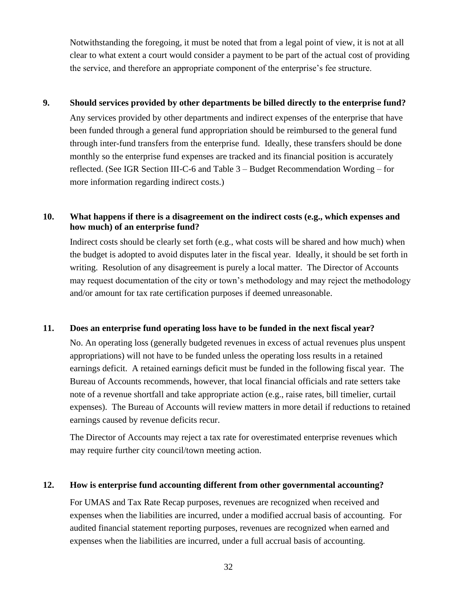Notwithstanding the foregoing, it must be noted that from a legal point of view, it is not at all clear to what extent a court would consider a payment to be part of the actual cost of providing the service, and therefore an appropriate component of the enterprise's fee structure.

#### **9. Should services provided by other departments be billed directly to the enterprise fund?**

Any services provided by other departments and indirect expenses of the enterprise that have been funded through a general fund appropriation should be reimbursed to the general fund through inter-fund transfers from the enterprise fund. Ideally, these transfers should be done monthly so the enterprise fund expenses are tracked and its financial position is accurately reflected. (See IGR Section III-C-6 and Table 3 – Budget Recommendation Wording – for more information regarding indirect costs.)

#### **10. What happens if there is a disagreement on the indirect costs (e.g., which expenses and how much) of an enterprise fund?**

Indirect costs should be clearly set forth (e.g., what costs will be shared and how much) when the budget is adopted to avoid disputes later in the fiscal year. Ideally, it should be set forth in writing. Resolution of any disagreement is purely a local matter. The Director of Accounts may request documentation of the city or town's methodology and may reject the methodology and/or amount for tax rate certification purposes if deemed unreasonable.

#### **11. Does an enterprise fund operating loss have to be funded in the next fiscal year?**

No. An operating loss (generally budgeted revenues in excess of actual revenues plus unspent appropriations) will not have to be funded unless the operating loss results in a retained earnings deficit. A retained earnings deficit must be funded in the following fiscal year. The Bureau of Accounts recommends, however, that local financial officials and rate setters take note of a revenue shortfall and take appropriate action (e.g., raise rates, bill timelier, curtail expenses). The Bureau of Accounts will review matters in more detail if reductions to retained earnings caused by revenue deficits recur.

The Director of Accounts may reject a tax rate for overestimated enterprise revenues which may require further city council/town meeting action.

#### **12. How is enterprise fund accounting different from other governmental accounting?**

For UMAS and Tax Rate Recap purposes, revenues are recognized when received and expenses when the liabilities are incurred, under a modified accrual basis of accounting. For audited financial statement reporting purposes, revenues are recognized when earned and expenses when the liabilities are incurred, under a full accrual basis of accounting.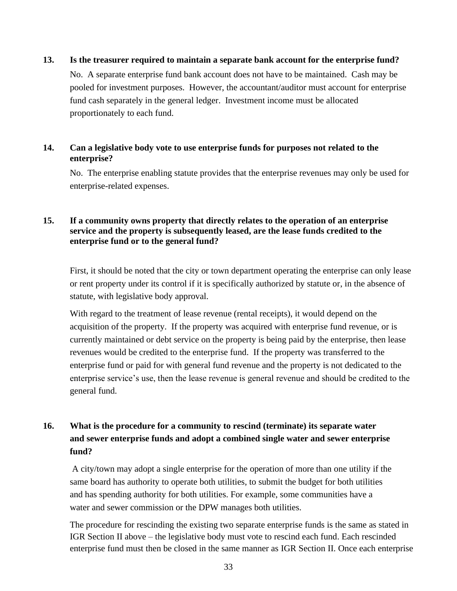#### **13. Is the treasurer required to maintain a separate bank account for the enterprise fund?**

No. A separate enterprise fund bank account does not have to be maintained. Cash may be pooled for investment purposes. However, the accountant/auditor must account for enterprise fund cash separately in the general ledger. Investment income must be allocated proportionately to each fund.

#### **14. Can a legislative body vote to use enterprise funds for purposes not related to the enterprise?**

No. The enterprise enabling statute provides that the enterprise revenues may only be used for enterprise-related expenses.

#### **15. If a community owns property that directly relates to the operation of an enterprise service and the property is subsequently leased, are the lease funds credited to the enterprise fund or to the general fund?**

First, it should be noted that the city or town department operating the enterprise can only lease or rent property under its control if it is specifically authorized by statute or, in the absence of statute, with legislative body approval.

With regard to the treatment of lease revenue (rental receipts), it would depend on the acquisition of the property. If the property was acquired with enterprise fund revenue, or is currently maintained or debt service on the property is being paid by the enterprise, then lease revenues would be credited to the enterprise fund. If the property was transferred to the enterprise fund or paid for with general fund revenue and the property is not dedicated to the enterprise service's use, then the lease revenue is general revenue and should be credited to the general fund.

### **16. What is the procedure for a community to rescind (terminate) its separate water and sewer enterprise funds and adopt a combined single water and sewer enterprise fund?**

A city/town may adopt a single enterprise for the operation of more than one utility if the same board has authority to operate both utilities, to submit the budget for both utilities and has spending authority for both utilities. For example, some communities have a water and sewer commission or the DPW manages both utilities.

The procedure for rescinding the existing two separate enterprise funds is the same as stated in IGR Section II above – the legislative body must vote to rescind each fund. Each rescinded enterprise fund must then be closed in the same manner as IGR Section II. Once each enterprise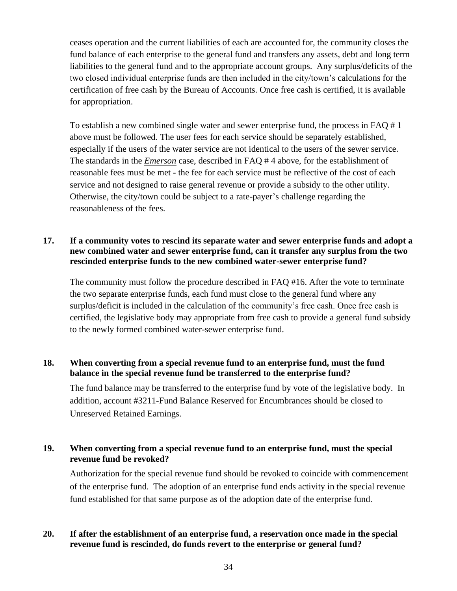ceases operation and the current liabilities of each are accounted for, the community closes the fund balance of each enterprise to the general fund and transfers any assets, debt and long term liabilities to the general fund and to the appropriate account groups. Any surplus/deficits of the two closed individual enterprise funds are then included in the city/town's calculations for the certification of free cash by the Bureau of Accounts. Once free cash is certified, it is available for appropriation.

To establish a new combined single water and sewer enterprise fund, the process in FAQ # 1 above must be followed. The user fees for each service should be separately established, especially if the users of the water service are not identical to the users of the sewer service. The standards in the *Emerson* case, described in FAQ # 4 above, for the establishment of reasonable fees must be met - the fee for each service must be reflective of the cost of each service and not designed to raise general revenue or provide a subsidy to the other utility. Otherwise, the city/town could be subject to a rate-payer's challenge regarding the reasonableness of the fees.

#### **17. If a community votes to rescind its separate water and sewer enterprise funds and adopt a new combined water and sewer enterprise fund, can it transfer any surplus from the two rescinded enterprise funds to the new combined water-sewer enterprise fund?**

The community must follow the procedure described in FAQ #16. After the vote to terminate the two separate enterprise funds, each fund must close to the general fund where any surplus/deficit is included in the calculation of the community's free cash. Once free cash is certified, the legislative body may appropriate from free cash to provide a general fund subsidy to the newly formed combined water-sewer enterprise fund.

#### **18. When converting from a special revenue fund to an enterprise fund, must the fund balance in the special revenue fund be transferred to the enterprise fund?**

The fund balance may be transferred to the enterprise fund by vote of the legislative body. In addition, account #3211-Fund Balance Reserved for Encumbrances should be closed to Unreserved Retained Earnings.

#### **19. When converting from a special revenue fund to an enterprise fund, must the special revenue fund be revoked?**

Authorization for the special revenue fund should be revoked to coincide with commencement of the enterprise fund. The adoption of an enterprise fund ends activity in the special revenue fund established for that same purpose as of the adoption date of the enterprise fund.

#### **20. If after the establishment of an enterprise fund, a reservation once made in the special revenue fund is rescinded, do funds revert to the enterprise or general fund?**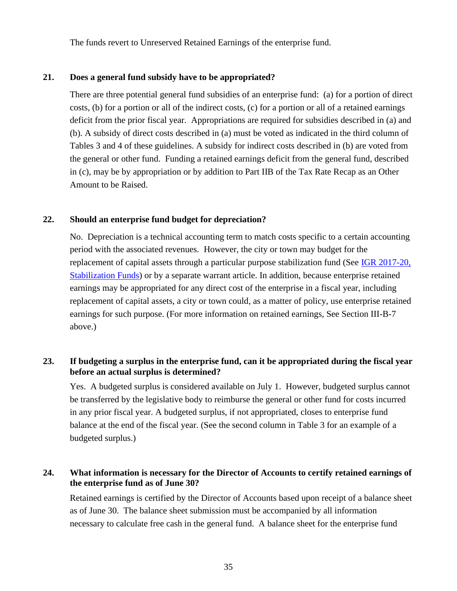The funds revert to Unreserved Retained Earnings of the enterprise fund.

#### **21. Does a general fund subsidy have to be appropriated?**

There are three potential general fund subsidies of an enterprise fund: (a) for a portion of direct costs, (b) for a portion or all of the indirect costs, (c) for a portion or all of a retained earnings deficit from the prior fiscal year. Appropriations are required for subsidies described in (a) and (b). A subsidy of direct costs described in (a) must be voted as indicated in the third column of Tables 3 and 4 of these guidelines. A subsidy for indirect costs described in (b) are voted from the general or other fund. Funding a retained earnings deficit from the general fund, described in (c), may be by appropriation or by addition to Part IIB of the Tax Rate Recap as an Other Amount to be Raised.

#### **22. Should an enterprise fund budget for depreciation?**

No. Depreciation is a technical accounting term to match costs specific to a certain accounting period with the associated revenues. However, the city or town may budget for the replacement of capital assets through a particular purpose stabilization fund (See IGR 2017-20, [Stabilization Funds\)](https://dlsgateway.dor.state.ma.us/gateway/DLSPublic/IgrMaintenance/708) or by a separate warrant article. In addition, because enterprise retained earnings may be appropriated for any direct cost of the enterprise in a fiscal year, including replacement of capital assets, a city or town could, as a matter of policy, use enterprise retained earnings for such purpose. (For more information on retained earnings, See Section III-B-7 above.)

#### **23. If budgeting a surplus in the enterprise fund, can it be appropriated during the fiscal year before an actual surplus is determined?**

Yes. A budgeted surplus is considered available on July 1. However, budgeted surplus cannot be transferred by the legislative body to reimburse the general or other fund for costs incurred in any prior fiscal year. A budgeted surplus, if not appropriated, closes to enterprise fund balance at the end of the fiscal year. (See the second column in Table 3 for an example of a budgeted surplus.)

#### **24. What information is necessary for the Director of Accounts to certify retained earnings of the enterprise fund as of June 30?**

Retained earnings is certified by the Director of Accounts based upon receipt of a balance sheet as of June 30. The balance sheet submission must be accompanied by all information necessary to calculate free cash in the general fund. A balance sheet for the enterprise fund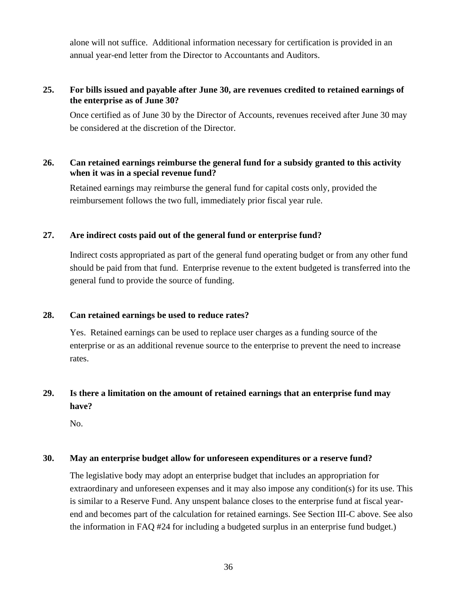alone will not suffice. Additional information necessary for certification is provided in an annual year-end letter from the Director to Accountants and Auditors.

#### **25. For bills issued and payable after June 30, are revenues credited to retained earnings of the enterprise as of June 30?**

Once certified as of June 30 by the Director of Accounts, revenues received after June 30 may be considered at the discretion of the Director.

#### **26. Can retained earnings reimburse the general fund for a subsidy granted to this activity when it was in a special revenue fund?**

Retained earnings may reimburse the general fund for capital costs only, provided the reimbursement follows the two full, immediately prior fiscal year rule.

#### **27. Are indirect costs paid out of the general fund or enterprise fund?**

Indirect costs appropriated as part of the general fund operating budget or from any other fund should be paid from that fund. Enterprise revenue to the extent budgeted is transferred into the general fund to provide the source of funding.

#### **28. Can retained earnings be used to reduce rates?**

Yes. Retained earnings can be used to replace user charges as a funding source of the enterprise or as an additional revenue source to the enterprise to prevent the need to increase rates.

### **29. Is there a limitation on the amount of retained earnings that an enterprise fund may have?**

No.

#### **30. May an enterprise budget allow for unforeseen expenditures or a reserve fund?**

The legislative body may adopt an enterprise budget that includes an appropriation for extraordinary and unforeseen expenses and it may also impose any condition(s) for its use. This is similar to a Reserve Fund. Any unspent balance closes to the enterprise fund at fiscal yearend and becomes part of the calculation for retained earnings. See Section III-C above. See also the information in FAQ #24 for including a budgeted surplus in an enterprise fund budget.)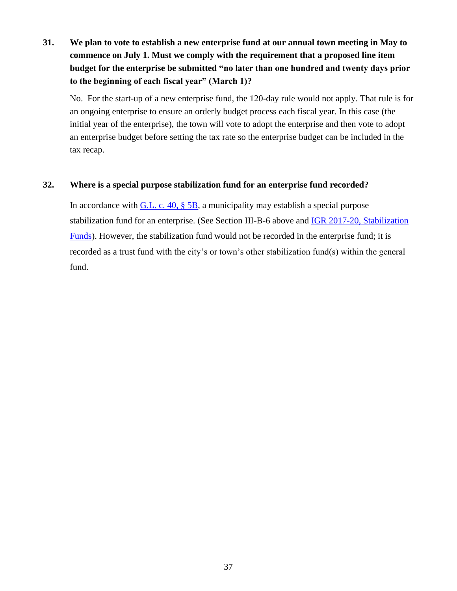**31. We plan to vote to establish a new enterprise fund at our annual town meeting in May to commence on July 1. Must we comply with the requirement that a proposed line item budget for the enterprise be submitted "no later than one hundred and twenty days prior to the beginning of each fiscal year" (March 1)?** 

No. For the start-up of a new enterprise fund, the 120-day rule would not apply. That rule is for an ongoing enterprise to ensure an orderly budget process each fiscal year. In this case (the initial year of the enterprise), the town will vote to adopt the enterprise and then vote to adopt an enterprise budget before setting the tax rate so the enterprise budget can be included in the tax recap.

#### **32. Where is a special purpose stabilization fund for an enterprise fund recorded?**

In accordance with  $G.L. c. 40, § 5B$ , a municipality may establish a special purpose stabilization fund for an enterprise. (See Section III-B-6 above and **IGR 2017-20, Stabilization** [Funds\)](https://dlsgateway.dor.state.ma.us/gateway/DLSPublic/IgrMaintenance/708). However, the stabilization fund would not be recorded in the enterprise fund; it is recorded as a trust fund with the city's or town's other stabilization fund(s) within the general fund.